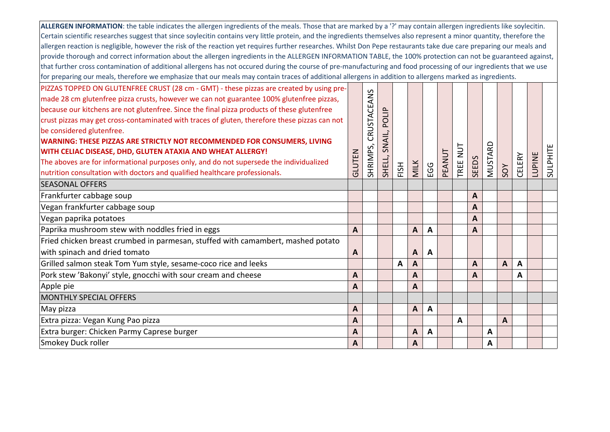| ALLERGEN INFORMATION: the table indicates the allergen ingredients of the meals. Those that are marked by a '?' may contain allergen ingredients like soylecitin.       |                  |             |        |              |                  |                         |        |        |       |         |     |        |               |          |
|-------------------------------------------------------------------------------------------------------------------------------------------------------------------------|------------------|-------------|--------|--------------|------------------|-------------------------|--------|--------|-------|---------|-----|--------|---------------|----------|
| Certain scientific researches suggest that since soylecitin contains very little protein, and the ingredients themselves also represent a minor quantity, therefore the |                  |             |        |              |                  |                         |        |        |       |         |     |        |               |          |
| allergen reaction is negligible, however the risk of the reaction yet requires further researches. Whilst Don Pepe restaurants take due care preparing our meals and    |                  |             |        |              |                  |                         |        |        |       |         |     |        |               |          |
| provide thorough and correct information about the allergen ingredients in the ALLERGEN INFORMATION TABLE, the 100% protection can not be guaranteed against,           |                  |             |        |              |                  |                         |        |        |       |         |     |        |               |          |
| that further cross contamination of additional allergens has not occured during the course of pre-manufacturing and food processing of our ingredients that we use      |                  |             |        |              |                  |                         |        |        |       |         |     |        |               |          |
| for preparing our meals, therefore we emphasize that our meals may contain traces of additional allergens in addition to allergens marked as ingredients.               |                  |             |        |              |                  |                         |        |        |       |         |     |        |               |          |
| PIZZAS TOPPED ON GLUTENFREE CRUST (28 cm - GMT) - these pizzas are created by using pre-                                                                                |                  |             |        |              |                  |                         |        |        |       |         |     |        |               |          |
| made 28 cm glutenfree pizza crusts, however we can not guarantee 100% glutenfree pizzas,                                                                                |                  |             |        |              |                  |                         |        |        |       |         |     |        |               |          |
| because our kitchens are not glutenfree. Since the final pizza products of these glutenfree                                                                             |                  |             |        |              |                  |                         |        |        |       |         |     |        |               |          |
| crust pizzas may get cross-contaminated with traces of gluten, therefore these pizzas can not                                                                           |                  | CRUSTACEANS | POLIP  |              |                  |                         |        |        |       |         |     |        |               |          |
| be considered glutenfree.                                                                                                                                               |                  |             |        |              |                  |                         |        |        |       |         |     |        |               |          |
| <b>WARNING: THESE PIZZAS ARE STRICTLY NOT RECOMMENDED FOR CONSUMERS, LIVING</b>                                                                                         |                  |             | SNAIL, |              |                  |                         |        |        |       |         |     |        |               |          |
| WITH CELIAC DISEASE, DHD, GLUTEN ATAXIA AND WHEAT ALLERGY!                                                                                                              |                  |             |        |              |                  |                         |        | TUN    |       |         |     |        |               |          |
| The aboves are for informational purposes only, and do not supersede the individualized                                                                                 | GLUTEN           | SHRIMPS,    |        |              |                  |                         | PEANUT |        |       | MUSTARD |     |        | <b>LUPINE</b> |          |
| nutrition consultation with doctors and qualified healthcare professionals.                                                                                             |                  |             | SHELL, | FISH         | <b>MILK</b>      | EGG                     |        | TREE I | SEEDS |         | SOY | CELERY |               | SULPHITE |
| <b>SEASONAL OFFERS</b>                                                                                                                                                  |                  |             |        |              |                  |                         |        |        |       |         |     |        |               |          |
| Frankfurter cabbage soup                                                                                                                                                |                  |             |        |              |                  |                         |        |        | A     |         |     |        |               |          |
| Vegan frankfurter cabbage soup                                                                                                                                          |                  |             |        |              |                  |                         |        |        | A     |         |     |        |               |          |
| Vegan paprika potatoes                                                                                                                                                  |                  |             |        |              |                  |                         |        |        | A     |         |     |        |               |          |
| Paprika mushroom stew with noddles fried in eggs                                                                                                                        | $\overline{A}$   |             |        |              | $\boldsymbol{A}$ | $\overline{\mathsf{A}}$ |        |        | A     |         |     |        |               |          |
| Fried chicken breast crumbed in parmesan, stuffed with camambert, mashed potato                                                                                         |                  |             |        |              |                  |                         |        |        |       |         |     |        |               |          |
| with spinach and dried tomato                                                                                                                                           | A                |             |        |              | A                | A                       |        |        |       |         |     |        |               |          |
| Grilled salmon steak Tom Yum style, sesame-coco rice and leeks                                                                                                          |                  |             |        | $\mathbf{A}$ | $\mathbf{A}$     |                         |        |        | A     |         | A   | A      |               |          |
| Pork stew 'Bakonyi' style, gnocchi with sour cream and cheese                                                                                                           | A                |             |        |              | $\overline{A}$   |                         |        |        | A     |         |     | A      |               |          |
| Apple pie                                                                                                                                                               | A                |             |        |              | $\overline{A}$   |                         |        |        |       |         |     |        |               |          |
| <b>MONTHLY SPECIAL OFFERS</b>                                                                                                                                           |                  |             |        |              |                  |                         |        |        |       |         |     |        |               |          |
| May pizza                                                                                                                                                               | $\boldsymbol{A}$ |             |        |              | A                | $\mathbf{A}$            |        |        |       |         |     |        |               |          |
| Extra pizza: Vegan Kung Pao pizza                                                                                                                                       | A                |             |        |              |                  |                         |        | A      |       |         | A   |        |               |          |
| Extra burger: Chicken Parmy Caprese burger                                                                                                                              | A                |             |        |              | $\overline{A}$   | A                       |        |        |       | A       |     |        |               |          |
| Smokey Duck roller                                                                                                                                                      | $\mathbf{A}$     |             |        |              | $\boldsymbol{A}$ |                         |        |        |       | A       |     |        |               |          |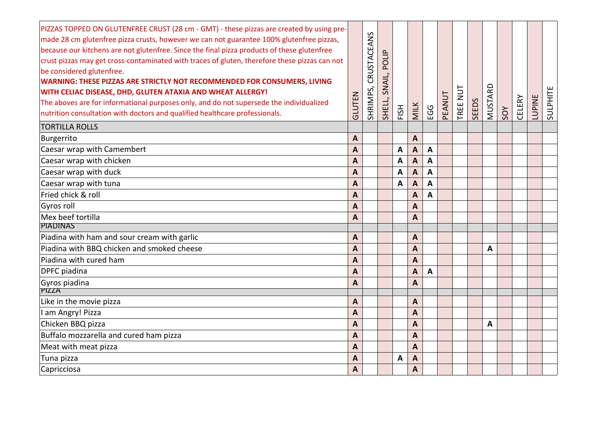| PIZZAS TOPPED ON GLUTENFREE CRUST (28 cm - GMT) - these pizzas are created by using pre-      |                  |             |        |              |                           |                |        |          |       |         |     |        |               |          |
|-----------------------------------------------------------------------------------------------|------------------|-------------|--------|--------------|---------------------------|----------------|--------|----------|-------|---------|-----|--------|---------------|----------|
| made 28 cm glutenfree pizza crusts, however we can not guarantee 100% glutenfree pizzas,      |                  | CRUSTACEANS |        |              |                           |                |        |          |       |         |     |        |               |          |
| because our kitchens are not glutenfree. Since the final pizza products of these glutenfree   |                  |             |        |              |                           |                |        |          |       |         |     |        |               |          |
| crust pizzas may get cross-contaminated with traces of gluten, therefore these pizzas can not |                  |             | POLI   |              |                           |                |        |          |       |         |     |        |               |          |
| be considered glutenfree.                                                                     |                  |             |        |              |                           |                |        |          |       |         |     |        |               |          |
| WARNING: THESE PIZZAS ARE STRICTLY NOT RECOMMENDED FOR CONSUMERS, LIVING                      |                  |             | SNAIL, |              |                           |                |        |          |       |         |     |        |               |          |
| WITH CELIAC DISEASE, DHD, GLUTEN ATAXIA AND WHEAT ALLERGY!                                    |                  | SHRIMPS,    |        |              |                           |                | PEANUT | TREE NUT |       | MUSTARD |     |        |               | SULPHITE |
| The aboves are for informational purposes only, and do not supersede the individualized       | GLUTEN           |             | SHELL, | FISH         | <b>MILK</b>               | <b>EGG</b>     |        |          | SEEDS |         |     | CELERY | <b>LUPINE</b> |          |
| nutrition consultation with doctors and qualified healthcare professionals.                   |                  |             |        |              |                           |                |        |          |       |         | SOY |        |               |          |
| <b>TORTILLA ROLLS</b>                                                                         |                  |             |        |              |                           |                |        |          |       |         |     |        |               |          |
| Burgerrito                                                                                    | $\boldsymbol{A}$ |             |        |              | A                         |                |        |          |       |         |     |        |               |          |
| Caesar wrap with Camembert                                                                    | $\mathsf{A}$     |             |        | A            | A                         | $\mathbf{A}$   |        |          |       |         |     |        |               |          |
| Caesar wrap with chicken                                                                      | A                |             |        | A            | $\boldsymbol{\mathsf{A}}$ | A              |        |          |       |         |     |        |               |          |
| Caesar wrap with duck                                                                         | $\overline{A}$   |             |        | $\mathbf{A}$ | $\overline{A}$            | $\overline{A}$ |        |          |       |         |     |        |               |          |
| Caesar wrap with tuna                                                                         | A                |             |        | A            | A                         | A              |        |          |       |         |     |        |               |          |
| Fried chick & roll                                                                            | $\overline{A}$   |             |        |              | A                         | A              |        |          |       |         |     |        |               |          |
| Gyros roll                                                                                    | $\mathbf{A}$     |             |        |              | A                         |                |        |          |       |         |     |        |               |          |
| Mex beef tortilla                                                                             | A                |             |        |              | A                         |                |        |          |       |         |     |        |               |          |
| <b>PIADINAS</b>                                                                               |                  |             |        |              |                           |                |        |          |       |         |     |        |               |          |
| Piadina with ham and sour cream with garlic                                                   | $\mathbf{A}$     |             |        |              | A                         |                |        |          |       |         |     |        |               |          |
| Piadina with BBQ chicken and smoked cheese                                                    | $\overline{A}$   |             |        |              | A                         |                |        |          |       | A       |     |        |               |          |
| Piadina with cured ham                                                                        | $\boldsymbol{A}$ |             |        |              | A                         |                |        |          |       |         |     |        |               |          |
| <b>DPFC</b> piadina                                                                           | $\mathbf{A}$     |             |        |              | A                         | $\overline{A}$ |        |          |       |         |     |        |               |          |
| Gyros piadina                                                                                 | A                |             |        |              | A                         |                |        |          |       |         |     |        |               |          |
| <b>PIZZA</b>                                                                                  |                  |             |        |              |                           |                |        |          |       |         |     |        |               |          |
| Like in the movie pizza                                                                       | A                |             |        |              | A                         |                |        |          |       |         |     |        |               |          |
| I am Angry! Pizza                                                                             | $\overline{A}$   |             |        |              | $\overline{A}$            |                |        |          |       |         |     |        |               |          |
| Chicken BBQ pizza                                                                             | $\mathbf{A}$     |             |        |              | A                         |                |        |          |       | A       |     |        |               |          |
| Buffalo mozzarella and cured ham pizza                                                        | $\boldsymbol{A}$ |             |        |              | A                         |                |        |          |       |         |     |        |               |          |
| Meat with meat pizza                                                                          | A                |             |        |              | $\overline{A}$            |                |        |          |       |         |     |        |               |          |
| Tuna pizza                                                                                    | A                |             |        | A            | A                         |                |        |          |       |         |     |        |               |          |
| Capricciosa                                                                                   | $\boldsymbol{A}$ |             |        |              | A                         |                |        |          |       |         |     |        |               |          |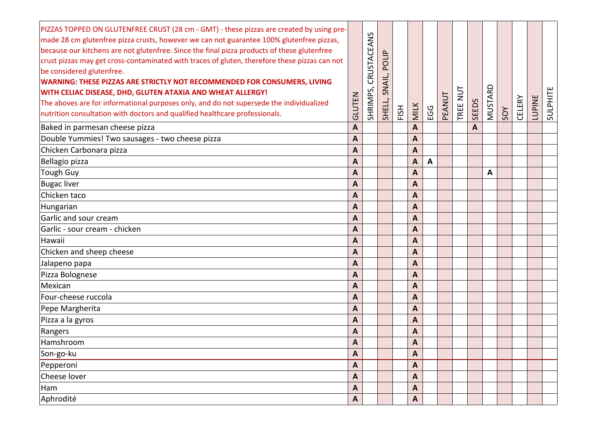| PIZZAS TOPPED ON GLUTENFREE CRUST (28 cm - GMT) - these pizzas are created by using pre-<br>made 28 cm glutenfree pizza crusts, however we can not guarantee 100% glutenfree pizzas,<br>because our kitchens are not glutenfree. Since the final pizza products of these glutenfree<br>crust pizzas may get cross-contaminated with traces of gluten, therefore these pizzas can not<br>be considered glutenfree.<br>WARNING: THESE PIZZAS ARE STRICTLY NOT RECOMMENDED FOR CONSUMERS, LIVING<br>WITH CELIAC DISEASE, DHD, GLUTEN ATAXIA AND WHEAT ALLERGY!<br>The aboves are for informational purposes only, and do not supersede the individualized<br>nutrition consultation with doctors and qualified healthcare professionals. | GLUTEN             | CRUSTACEANS<br>SHRIMPS, | POLIP<br>SNAIL,<br>SHELL, | FISH | <b>MILK</b>             | EGG | PEANUT | $\overline{u}$<br>TREE | <b>SEEDS</b> | MUSTARD | SOY | CELERY | <b>LUPINE</b> | SULPHITE |
|---------------------------------------------------------------------------------------------------------------------------------------------------------------------------------------------------------------------------------------------------------------------------------------------------------------------------------------------------------------------------------------------------------------------------------------------------------------------------------------------------------------------------------------------------------------------------------------------------------------------------------------------------------------------------------------------------------------------------------------|--------------------|-------------------------|---------------------------|------|-------------------------|-----|--------|------------------------|--------------|---------|-----|--------|---------------|----------|
| Baked in parmesan cheese pizza                                                                                                                                                                                                                                                                                                                                                                                                                                                                                                                                                                                                                                                                                                        | A                  |                         |                           |      | A                       |     |        |                        | A            |         |     |        |               |          |
| Double Yummies! Two sausages - two cheese pizza                                                                                                                                                                                                                                                                                                                                                                                                                                                                                                                                                                                                                                                                                       | $\mathbf{A}$       |                         |                           |      | A                       |     |        |                        |              |         |     |        |               |          |
| Chicken Carbonara pizza                                                                                                                                                                                                                                                                                                                                                                                                                                                                                                                                                                                                                                                                                                               | A                  |                         |                           |      | A                       |     |        |                        |              |         |     |        |               |          |
| Bellagio pizza                                                                                                                                                                                                                                                                                                                                                                                                                                                                                                                                                                                                                                                                                                                        | A                  |                         |                           |      | A                       | A   |        |                        |              |         |     |        |               |          |
| Tough Guy                                                                                                                                                                                                                                                                                                                                                                                                                                                                                                                                                                                                                                                                                                                             | A                  |                         |                           |      | A                       |     |        |                        |              | A       |     |        |               |          |
| <b>Bugac liver</b>                                                                                                                                                                                                                                                                                                                                                                                                                                                                                                                                                                                                                                                                                                                    | A                  |                         |                           |      | A                       |     |        |                        |              |         |     |        |               |          |
| Chicken taco                                                                                                                                                                                                                                                                                                                                                                                                                                                                                                                                                                                                                                                                                                                          | $\boldsymbol{A}$   |                         |                           |      | A                       |     |        |                        |              |         |     |        |               |          |
| Hungarian                                                                                                                                                                                                                                                                                                                                                                                                                                                                                                                                                                                                                                                                                                                             | A                  |                         |                           |      | A                       |     |        |                        |              |         |     |        |               |          |
| Garlic and sour cream                                                                                                                                                                                                                                                                                                                                                                                                                                                                                                                                                                                                                                                                                                                 | A                  |                         |                           |      | A                       |     |        |                        |              |         |     |        |               |          |
| Garlic - sour cream - chicken                                                                                                                                                                                                                                                                                                                                                                                                                                                                                                                                                                                                                                                                                                         | $\boldsymbol{A}$   |                         |                           |      | A                       |     |        |                        |              |         |     |        |               |          |
| Hawaii                                                                                                                                                                                                                                                                                                                                                                                                                                                                                                                                                                                                                                                                                                                                | A                  |                         |                           |      | A                       |     |        |                        |              |         |     |        |               |          |
| Chicken and sheep cheese                                                                                                                                                                                                                                                                                                                                                                                                                                                                                                                                                                                                                                                                                                              | $\overline{A}$     |                         |                           |      | A                       |     |        |                        |              |         |     |        |               |          |
| Jalapeno papa                                                                                                                                                                                                                                                                                                                                                                                                                                                                                                                                                                                                                                                                                                                         | A                  |                         |                           |      | A                       |     |        |                        |              |         |     |        |               |          |
| Pizza Bolognese                                                                                                                                                                                                                                                                                                                                                                                                                                                                                                                                                                                                                                                                                                                       | A                  |                         |                           |      | A                       |     |        |                        |              |         |     |        |               |          |
| Mexican                                                                                                                                                                                                                                                                                                                                                                                                                                                                                                                                                                                                                                                                                                                               | A                  |                         |                           |      | A                       |     |        |                        |              |         |     |        |               |          |
| Four-cheese ruccola                                                                                                                                                                                                                                                                                                                                                                                                                                                                                                                                                                                                                                                                                                                   | A                  |                         |                           |      | A                       |     |        |                        |              |         |     |        |               |          |
| Pepe Margherita                                                                                                                                                                                                                                                                                                                                                                                                                                                                                                                                                                                                                                                                                                                       | A                  |                         |                           |      | A                       |     |        |                        |              |         |     |        |               |          |
| Pizza a la gyros                                                                                                                                                                                                                                                                                                                                                                                                                                                                                                                                                                                                                                                                                                                      | A                  |                         |                           |      | A                       |     |        |                        |              |         |     |        |               |          |
| Rangers                                                                                                                                                                                                                                                                                                                                                                                                                                                                                                                                                                                                                                                                                                                               | A                  |                         |                           |      | A                       |     |        |                        |              |         |     |        |               |          |
| Hamshroom                                                                                                                                                                                                                                                                                                                                                                                                                                                                                                                                                                                                                                                                                                                             | $\overline{A}$     |                         |                           |      | $\overline{A}$          |     |        |                        |              |         |     |        |               |          |
| Son-go-ku                                                                                                                                                                                                                                                                                                                                                                                                                                                                                                                                                                                                                                                                                                                             | A                  |                         |                           |      | A                       |     |        |                        |              |         |     |        |               |          |
| Pepperoni                                                                                                                                                                                                                                                                                                                                                                                                                                                                                                                                                                                                                                                                                                                             | A                  |                         |                           |      | A                       |     |        |                        |              |         |     |        |               |          |
| Cheese lover                                                                                                                                                                                                                                                                                                                                                                                                                                                                                                                                                                                                                                                                                                                          | A                  |                         |                           |      | A                       |     |        |                        |              |         |     |        |               |          |
| Ham                                                                                                                                                                                                                                                                                                                                                                                                                                                                                                                                                                                                                                                                                                                                   | A                  |                         |                           |      | A                       |     |        |                        |              |         |     |        |               |          |
| Aphrodité                                                                                                                                                                                                                                                                                                                                                                                                                                                                                                                                                                                                                                                                                                                             | $\pmb{\mathsf{A}}$ |                         |                           |      | $\overline{\mathsf{A}}$ |     |        |                        |              |         |     |        |               |          |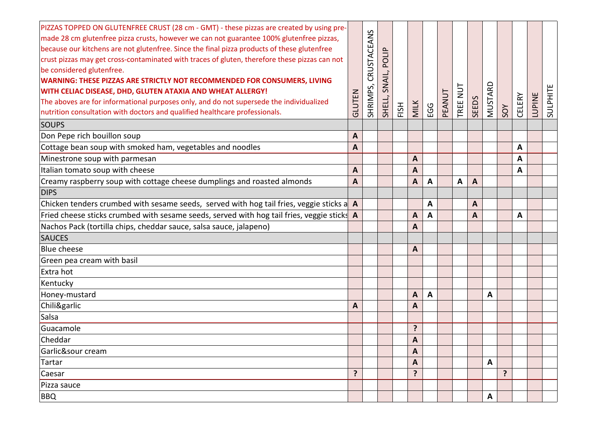| PIZZAS TOPPED ON GLUTENFREE CRUST (28 cm - GMT) - these pizzas are created by using pre-<br>made 28 cm glutenfree pizza crusts, however we can not guarantee 100% glutenfree pizzas,<br>because our kitchens are not glutenfree. Since the final pizza products of these glutenfree<br>crust pizzas may get cross-contaminated with traces of gluten, therefore these pizzas can not<br>be considered glutenfree.<br>WARNING: THESE PIZZAS ARE STRICTLY NOT RECOMMENDED FOR CONSUMERS, LIVING<br>WITH CELIAC DISEASE, DHD, GLUTEN ATAXIA AND WHEAT ALLERGY!<br>The aboves are for informational purposes only, and do not supersede the individualized<br>nutrition consultation with doctors and qualified healthcare professionals.<br><b>SOUPS</b> | GLUTEN | CRUSTACEANS<br>SHRIMPS, | POLIP<br>SNAIL,<br>SHELL, | FISH | <b>MILK</b> | EGG          | PEANUT | TREE NUT | <b>SEEDS</b> | MUSTARD | SOY | CELERY | <b>LUPINE</b> | SULPHITE |
|-------------------------------------------------------------------------------------------------------------------------------------------------------------------------------------------------------------------------------------------------------------------------------------------------------------------------------------------------------------------------------------------------------------------------------------------------------------------------------------------------------------------------------------------------------------------------------------------------------------------------------------------------------------------------------------------------------------------------------------------------------|--------|-------------------------|---------------------------|------|-------------|--------------|--------|----------|--------------|---------|-----|--------|---------------|----------|
| Don Pepe rich bouillon soup                                                                                                                                                                                                                                                                                                                                                                                                                                                                                                                                                                                                                                                                                                                           | A      |                         |                           |      |             |              |        |          |              |         |     |        |               |          |
| Cottage bean soup with smoked ham, vegetables and noodles                                                                                                                                                                                                                                                                                                                                                                                                                                                                                                                                                                                                                                                                                             | A      |                         |                           |      |             |              |        |          |              |         |     | A      |               |          |
| Minestrone soup with parmesan                                                                                                                                                                                                                                                                                                                                                                                                                                                                                                                                                                                                                                                                                                                         |        |                         |                           |      | A           |              |        |          |              |         |     | A      |               |          |
| Italian tomato soup with cheese                                                                                                                                                                                                                                                                                                                                                                                                                                                                                                                                                                                                                                                                                                                       | A      |                         |                           |      | A           |              |        |          |              |         |     | A      |               |          |
| Creamy raspberry soup with cottage cheese dumplings and roasted almonds                                                                                                                                                                                                                                                                                                                                                                                                                                                                                                                                                                                                                                                                               | A      |                         |                           |      | A           | A            |        | A        | A            |         |     |        |               |          |
| <b>DIPS</b>                                                                                                                                                                                                                                                                                                                                                                                                                                                                                                                                                                                                                                                                                                                                           |        |                         |                           |      |             |              |        |          |              |         |     |        |               |          |
| Chicken tenders crumbed with sesame seeds, served with hog tail fries, veggie sticks a A                                                                                                                                                                                                                                                                                                                                                                                                                                                                                                                                                                                                                                                              |        |                         |                           |      |             | A            |        |          | A            |         |     |        |               |          |
| Fried cheese sticks crumbed with sesame seeds, served with hog tail fries, veggie sticks A                                                                                                                                                                                                                                                                                                                                                                                                                                                                                                                                                                                                                                                            |        |                         |                           |      | A           | A            |        |          | A            |         |     | A      |               |          |
| Nachos Pack (tortilla chips, cheddar sauce, salsa sauce, jalapeno)                                                                                                                                                                                                                                                                                                                                                                                                                                                                                                                                                                                                                                                                                    |        |                         |                           |      | Α           |              |        |          |              |         |     |        |               |          |
| <b>SAUCES</b>                                                                                                                                                                                                                                                                                                                                                                                                                                                                                                                                                                                                                                                                                                                                         |        |                         |                           |      |             |              |        |          |              |         |     |        |               |          |
| <b>Blue cheese</b>                                                                                                                                                                                                                                                                                                                                                                                                                                                                                                                                                                                                                                                                                                                                    |        |                         |                           |      | A           |              |        |          |              |         |     |        |               |          |
| Green pea cream with basil                                                                                                                                                                                                                                                                                                                                                                                                                                                                                                                                                                                                                                                                                                                            |        |                         |                           |      |             |              |        |          |              |         |     |        |               |          |
| Extra hot                                                                                                                                                                                                                                                                                                                                                                                                                                                                                                                                                                                                                                                                                                                                             |        |                         |                           |      |             |              |        |          |              |         |     |        |               |          |
| Kentucky                                                                                                                                                                                                                                                                                                                                                                                                                                                                                                                                                                                                                                                                                                                                              |        |                         |                           |      |             |              |        |          |              |         |     |        |               |          |
| Honey-mustard                                                                                                                                                                                                                                                                                                                                                                                                                                                                                                                                                                                                                                                                                                                                         |        |                         |                           |      | A           | $\mathbf{A}$ |        |          |              | A       |     |        |               |          |
| Chili&garlic                                                                                                                                                                                                                                                                                                                                                                                                                                                                                                                                                                                                                                                                                                                                          | A      |                         |                           |      | A           |              |        |          |              |         |     |        |               |          |
| Salsa                                                                                                                                                                                                                                                                                                                                                                                                                                                                                                                                                                                                                                                                                                                                                 |        |                         |                           |      |             |              |        |          |              |         |     |        |               |          |
| Guacamole                                                                                                                                                                                                                                                                                                                                                                                                                                                                                                                                                                                                                                                                                                                                             |        |                         |                           |      | ?           |              |        |          |              |         |     |        |               |          |
| Cheddar                                                                                                                                                                                                                                                                                                                                                                                                                                                                                                                                                                                                                                                                                                                                               |        |                         |                           |      | A           |              |        |          |              |         |     |        |               |          |
| Garlic&sour cream                                                                                                                                                                                                                                                                                                                                                                                                                                                                                                                                                                                                                                                                                                                                     |        |                         |                           |      | A           |              |        |          |              |         |     |        |               |          |
| Tartar                                                                                                                                                                                                                                                                                                                                                                                                                                                                                                                                                                                                                                                                                                                                                |        |                         |                           |      | A           |              |        |          |              | A       |     |        |               |          |
| Caesar                                                                                                                                                                                                                                                                                                                                                                                                                                                                                                                                                                                                                                                                                                                                                | ?      |                         |                           |      | ?           |              |        |          |              |         | ?   |        |               |          |
| Pizza sauce                                                                                                                                                                                                                                                                                                                                                                                                                                                                                                                                                                                                                                                                                                                                           |        |                         |                           |      |             |              |        |          |              |         |     |        |               |          |
| <b>BBQ</b>                                                                                                                                                                                                                                                                                                                                                                                                                                                                                                                                                                                                                                                                                                                                            |        |                         |                           |      |             |              |        |          |              | A       |     |        |               |          |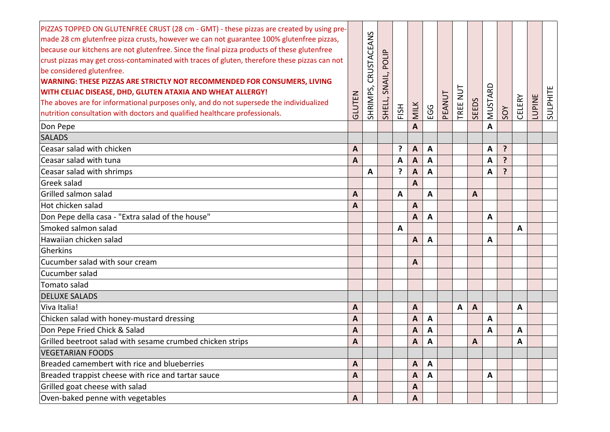| PIZZAS TOPPED ON GLUTENFREE CRUST (28 cm - GMT) - these pizzas are created by using pre-<br>made 28 cm glutenfree pizza crusts, however we can not guarantee 100% glutenfree pizzas,<br>because our kitchens are not glutenfree. Since the final pizza products of these glutenfree<br>crust pizzas may get cross-contaminated with traces of gluten, therefore these pizzas can not<br>be considered glutenfree.<br>WARNING: THESE PIZZAS ARE STRICTLY NOT RECOMMENDED FOR CONSUMERS, LIVING<br>WITH CELIAC DISEASE, DHD, GLUTEN ATAXIA AND WHEAT ALLERGY!<br>The aboves are for informational purposes only, and do not supersede the individualized<br>nutrition consultation with doctors and qualified healthcare professionals. | GLUTEN       | CRUSTACEANS<br>SHRIMPS, | POLIP<br>SNAIL,<br>SHELL, | FISH   | <b>MILK</b>               | EGG                     | PEANUT | $\overline{u}$<br>TREE | <b>SEEDS</b>   | MUSTARD | SOY            | CELERY       | <b>LUPINE</b> | SULPHITE |
|---------------------------------------------------------------------------------------------------------------------------------------------------------------------------------------------------------------------------------------------------------------------------------------------------------------------------------------------------------------------------------------------------------------------------------------------------------------------------------------------------------------------------------------------------------------------------------------------------------------------------------------------------------------------------------------------------------------------------------------|--------------|-------------------------|---------------------------|--------|---------------------------|-------------------------|--------|------------------------|----------------|---------|----------------|--------------|---------------|----------|
| Don Pepe<br><b>SALADS</b>                                                                                                                                                                                                                                                                                                                                                                                                                                                                                                                                                                                                                                                                                                             |              |                         |                           |        | A                         |                         |        |                        |                | A       |                |              |               |          |
| Ceasar salad with chicken                                                                                                                                                                                                                                                                                                                                                                                                                                                                                                                                                                                                                                                                                                             |              |                         |                           | ?      | $\overline{A}$            | $\overline{\mathsf{A}}$ |        |                        |                |         | ?              |              |               |          |
| Ceasar salad with tuna                                                                                                                                                                                                                                                                                                                                                                                                                                                                                                                                                                                                                                                                                                                | A<br>A       |                         |                           |        | $\mathbf{A}$              | A                       |        |                        |                | A       | ?              |              |               |          |
| Ceasar salad with shrimps                                                                                                                                                                                                                                                                                                                                                                                                                                                                                                                                                                                                                                                                                                             |              | A                       |                           | A<br>? | A                         | A                       |        |                        |                | Α<br>Α  | $\overline{ }$ |              |               |          |
| Greek salad                                                                                                                                                                                                                                                                                                                                                                                                                                                                                                                                                                                                                                                                                                                           |              |                         |                           |        | A                         |                         |        |                        |                |         |                |              |               |          |
| Grilled salmon salad                                                                                                                                                                                                                                                                                                                                                                                                                                                                                                                                                                                                                                                                                                                  | A            |                         |                           | A      |                           | A                       |        |                        | $\overline{A}$ |         |                |              |               |          |
| Hot chicken salad                                                                                                                                                                                                                                                                                                                                                                                                                                                                                                                                                                                                                                                                                                                     | A            |                         |                           |        | A                         |                         |        |                        |                |         |                |              |               |          |
| Don Pepe della casa - "Extra salad of the house"                                                                                                                                                                                                                                                                                                                                                                                                                                                                                                                                                                                                                                                                                      |              |                         |                           |        | A                         | A                       |        |                        |                | Α       |                |              |               |          |
| Smoked salmon salad                                                                                                                                                                                                                                                                                                                                                                                                                                                                                                                                                                                                                                                                                                                   |              |                         |                           | A      |                           |                         |        |                        |                |         |                | A            |               |          |
| Hawaiian chicken salad                                                                                                                                                                                                                                                                                                                                                                                                                                                                                                                                                                                                                                                                                                                |              |                         |                           |        | A                         | $\mathbf{A}$            |        |                        |                | Α       |                |              |               |          |
| Gherkins                                                                                                                                                                                                                                                                                                                                                                                                                                                                                                                                                                                                                                                                                                                              |              |                         |                           |        |                           |                         |        |                        |                |         |                |              |               |          |
| Cucumber salad with sour cream                                                                                                                                                                                                                                                                                                                                                                                                                                                                                                                                                                                                                                                                                                        |              |                         |                           |        | A                         |                         |        |                        |                |         |                |              |               |          |
| Cucumber salad                                                                                                                                                                                                                                                                                                                                                                                                                                                                                                                                                                                                                                                                                                                        |              |                         |                           |        |                           |                         |        |                        |                |         |                |              |               |          |
| Tomato salad                                                                                                                                                                                                                                                                                                                                                                                                                                                                                                                                                                                                                                                                                                                          |              |                         |                           |        |                           |                         |        |                        |                |         |                |              |               |          |
| <b>DELUXE SALADS</b>                                                                                                                                                                                                                                                                                                                                                                                                                                                                                                                                                                                                                                                                                                                  |              |                         |                           |        |                           |                         |        |                        |                |         |                |              |               |          |
| Viva Italia!                                                                                                                                                                                                                                                                                                                                                                                                                                                                                                                                                                                                                                                                                                                          | A            |                         |                           |        | A                         |                         |        | A                      | $\overline{A}$ |         |                | A            |               |          |
| Chicken salad with honey-mustard dressing                                                                                                                                                                                                                                                                                                                                                                                                                                                                                                                                                                                                                                                                                             | A            |                         |                           |        | A                         | $\mathbf{A}$            |        |                        |                | A       |                |              |               |          |
| Don Pepe Fried Chick & Salad                                                                                                                                                                                                                                                                                                                                                                                                                                                                                                                                                                                                                                                                                                          | A            |                         |                           |        | A                         | A                       |        |                        |                | A       |                | A            |               |          |
| Grilled beetroot salad with sesame crumbed chicken strips                                                                                                                                                                                                                                                                                                                                                                                                                                                                                                                                                                                                                                                                             | A            |                         |                           |        | A                         | A                       |        |                        | $\mathbf{A}$   |         |                | $\mathbf{A}$ |               |          |
| <b>VEGETARIAN FOODS</b>                                                                                                                                                                                                                                                                                                                                                                                                                                                                                                                                                                                                                                                                                                               |              |                         |                           |        |                           |                         |        |                        |                |         |                |              |               |          |
| Breaded camembert with rice and blueberries                                                                                                                                                                                                                                                                                                                                                                                                                                                                                                                                                                                                                                                                                           | A            |                         |                           |        | A                         | $\mathbf{A}$            |        |                        |                |         |                |              |               |          |
| Breaded trappist cheese with rice and tartar sauce                                                                                                                                                                                                                                                                                                                                                                                                                                                                                                                                                                                                                                                                                    | A            |                         |                           |        | A                         | A                       |        |                        |                | A       |                |              |               |          |
| Grilled goat cheese with salad                                                                                                                                                                                                                                                                                                                                                                                                                                                                                                                                                                                                                                                                                                        |              |                         |                           |        | A                         |                         |        |                        |                |         |                |              |               |          |
| Oven-baked penne with vegetables                                                                                                                                                                                                                                                                                                                                                                                                                                                                                                                                                                                                                                                                                                      | $\mathbf{A}$ |                         |                           |        | $\boldsymbol{\mathsf{A}}$ |                         |        |                        |                |         |                |              |               |          |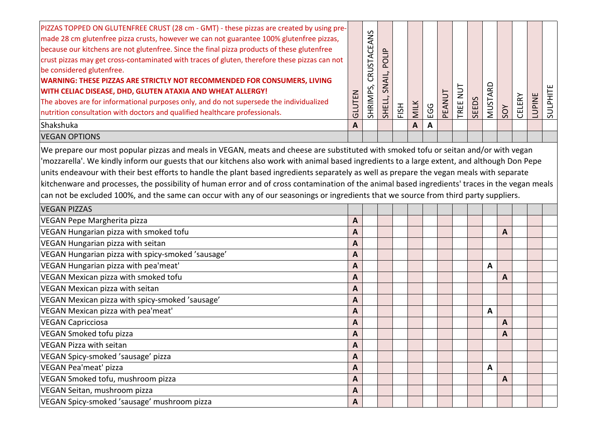| PIZZAS TOPPED ON GLUTENFREE CRUST (28 cm - GMT) - these pizzas are created by using pre-<br>made 28 cm glutenfree pizza crusts, however we can not guarantee 100% glutenfree pizzas,<br>because our kitchens are not glutenfree. Since the final pizza products of these glutenfree<br>crust pizzas may get cross-contaminated with traces of gluten, therefore these pizzas can not<br>be considered glutenfree.<br>WARNING: THESE PIZZAS ARE STRICTLY NOT RECOMMENDED FOR CONSUMERS, LIVING<br>WITH CELIAC DISEASE, DHD, GLUTEN ATAXIA AND WHEAT ALLERGY!<br>The aboves are for informational purposes only, and do not supersede the individualized<br>nutrition consultation with doctors and qualified healthcare professionals. | GLUTEN       | CRUSTACEANS<br>SHRIMPS, | POLIP<br>SNAIL,<br>SHELL, | FISH | MILK | EGG | PEANUT | TREE NUT | <b>SEEDS</b> | MUSTARD      | SOY | CELERY | LUPINE | SULPHITE |
|---------------------------------------------------------------------------------------------------------------------------------------------------------------------------------------------------------------------------------------------------------------------------------------------------------------------------------------------------------------------------------------------------------------------------------------------------------------------------------------------------------------------------------------------------------------------------------------------------------------------------------------------------------------------------------------------------------------------------------------|--------------|-------------------------|---------------------------|------|------|-----|--------|----------|--------------|--------------|-----|--------|--------|----------|
| Shakshuka                                                                                                                                                                                                                                                                                                                                                                                                                                                                                                                                                                                                                                                                                                                             | A            |                         |                           |      | A    | A   |        |          |              |              |     |        |        |          |
| <b>VEGAN OPTIONS</b>                                                                                                                                                                                                                                                                                                                                                                                                                                                                                                                                                                                                                                                                                                                  |              |                         |                           |      |      |     |        |          |              |              |     |        |        |          |
| We prepare our most popular pizzas and meals in VEGAN, meats and cheese are substituted with smoked tofu or seitan and/or with vegan<br>'mozzarella'. We kindly inform our guests that our kitchens also work with animal based ingredients to a large extent, and although Don Pepe<br>units endeavour with their best efforts to handle the plant based ingredients separately as well as prepare the vegan meals with separate<br>kitchenware and processes, the possibility of human error and of cross contamination of the animal based ingredients' traces in the vegan meals<br>can not be excluded 100%, and the same can occur with any of our seasonings or ingredients that we source from third party suppliers.         |              |                         |                           |      |      |     |        |          |              |              |     |        |        |          |
| <b>VEGAN PIZZAS</b>                                                                                                                                                                                                                                                                                                                                                                                                                                                                                                                                                                                                                                                                                                                   |              |                         |                           |      |      |     |        |          |              |              |     |        |        |          |
| VEGAN Pepe Margherita pizza                                                                                                                                                                                                                                                                                                                                                                                                                                                                                                                                                                                                                                                                                                           | A            |                         |                           |      |      |     |        |          |              |              |     |        |        |          |
| VEGAN Hungarian pizza with smoked tofu                                                                                                                                                                                                                                                                                                                                                                                                                                                                                                                                                                                                                                                                                                | A            |                         |                           |      |      |     |        |          |              |              | A   |        |        |          |
| VEGAN Hungarian pizza with seitan                                                                                                                                                                                                                                                                                                                                                                                                                                                                                                                                                                                                                                                                                                     | A            |                         |                           |      |      |     |        |          |              |              |     |        |        |          |
| VEGAN Hungarian pizza with spicy-smoked 'sausage'                                                                                                                                                                                                                                                                                                                                                                                                                                                                                                                                                                                                                                                                                     | A            |                         |                           |      |      |     |        |          |              |              |     |        |        |          |
| VEGAN Hungarian pizza with pea'meat'                                                                                                                                                                                                                                                                                                                                                                                                                                                                                                                                                                                                                                                                                                  | A            |                         |                           |      |      |     |        |          |              | A            |     |        |        |          |
| VEGAN Mexican pizza with smoked tofu                                                                                                                                                                                                                                                                                                                                                                                                                                                                                                                                                                                                                                                                                                  | A            |                         |                           |      |      |     |        |          |              |              | A   |        |        |          |
| VEGAN Mexican pizza with seitan                                                                                                                                                                                                                                                                                                                                                                                                                                                                                                                                                                                                                                                                                                       | A            |                         |                           |      |      |     |        |          |              |              |     |        |        |          |
| VEGAN Mexican pizza with spicy-smoked 'sausage'                                                                                                                                                                                                                                                                                                                                                                                                                                                                                                                                                                                                                                                                                       | A            |                         |                           |      |      |     |        |          |              |              |     |        |        |          |
| VEGAN Mexican pizza with pea'meat'                                                                                                                                                                                                                                                                                                                                                                                                                                                                                                                                                                                                                                                                                                    | A            |                         |                           |      |      |     |        |          |              | A            |     |        |        |          |
| <b>VEGAN Capricciosa</b>                                                                                                                                                                                                                                                                                                                                                                                                                                                                                                                                                                                                                                                                                                              | A            |                         |                           |      |      |     |        |          |              |              | A   |        |        |          |
| <b>VEGAN Smoked tofu pizza</b>                                                                                                                                                                                                                                                                                                                                                                                                                                                                                                                                                                                                                                                                                                        | A            |                         |                           |      |      |     |        |          |              |              | A   |        |        |          |
| VEGAN Pizza with seitan                                                                                                                                                                                                                                                                                                                                                                                                                                                                                                                                                                                                                                                                                                               | A            |                         |                           |      |      |     |        |          |              |              |     |        |        |          |
| VEGAN Spicy-smoked 'sausage' pizza                                                                                                                                                                                                                                                                                                                                                                                                                                                                                                                                                                                                                                                                                                    | A            |                         |                           |      |      |     |        |          |              |              |     |        |        |          |
| VEGAN Pea'meat' pizza                                                                                                                                                                                                                                                                                                                                                                                                                                                                                                                                                                                                                                                                                                                 | A            |                         |                           |      |      |     |        |          |              | $\mathbf{A}$ |     |        |        |          |
| VEGAN Smoked tofu, mushroom pizza                                                                                                                                                                                                                                                                                                                                                                                                                                                                                                                                                                                                                                                                                                     | A            |                         |                           |      |      |     |        |          |              |              | A   |        |        |          |
| VEGAN Seitan, mushroom pizza                                                                                                                                                                                                                                                                                                                                                                                                                                                                                                                                                                                                                                                                                                          | A            |                         |                           |      |      |     |        |          |              |              |     |        |        |          |
| VEGAN Spicy-smoked 'sausage' mushroom pizza                                                                                                                                                                                                                                                                                                                                                                                                                                                                                                                                                                                                                                                                                           | $\mathbf{A}$ |                         |                           |      |      |     |        |          |              |              |     |        |        |          |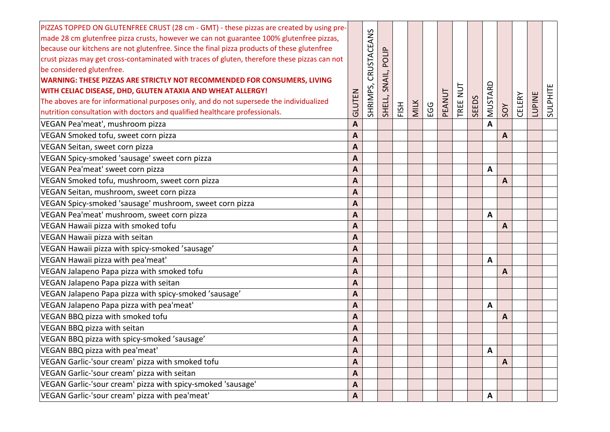| PIZZAS TOPPED ON GLUTENFREE CRUST (28 cm - GMT) - these pizzas are created by using pre-<br>made 28 cm glutenfree pizza crusts, however we can not guarantee 100% glutenfree pizzas,<br>because our kitchens are not glutenfree. Since the final pizza products of these glutenfree<br>crust pizzas may get cross-contaminated with traces of gluten, therefore these pizzas can not<br>be considered glutenfree.<br>WARNING: THESE PIZZAS ARE STRICTLY NOT RECOMMENDED FOR CONSUMERS, LIVING<br>WITH CELIAC DISEASE, DHD, GLUTEN ATAXIA AND WHEAT ALLERGY!<br>The aboves are for informational purposes only, and do not supersede the individualized<br>nutrition consultation with doctors and qualified healthcare professionals. | GLUTEN       | CRUSTACEANS<br>SHRIMPS, | POLIP<br>SNAIL,<br>SHELL, | FISH | <b>MILK</b> | <b>EGG</b> | PEANUT | $\overline{2}$<br>TREE | <b>SEEDS</b> | MUSTARD | SOY | <b>CELERY</b> | <b>LUPINE</b> | SULPHITE |
|---------------------------------------------------------------------------------------------------------------------------------------------------------------------------------------------------------------------------------------------------------------------------------------------------------------------------------------------------------------------------------------------------------------------------------------------------------------------------------------------------------------------------------------------------------------------------------------------------------------------------------------------------------------------------------------------------------------------------------------|--------------|-------------------------|---------------------------|------|-------------|------------|--------|------------------------|--------------|---------|-----|---------------|---------------|----------|
| VEGAN Pea'meat', mushroom pizza                                                                                                                                                                                                                                                                                                                                                                                                                                                                                                                                                                                                                                                                                                       | A            |                         |                           |      |             |            |        |                        |              | A       |     |               |               |          |
| VEGAN Smoked tofu, sweet corn pizza                                                                                                                                                                                                                                                                                                                                                                                                                                                                                                                                                                                                                                                                                                   | A            |                         |                           |      |             |            |        |                        |              |         | A   |               |               |          |
| VEGAN Seitan, sweet corn pizza                                                                                                                                                                                                                                                                                                                                                                                                                                                                                                                                                                                                                                                                                                        | A            |                         |                           |      |             |            |        |                        |              |         |     |               |               |          |
| VEGAN Spicy-smoked 'sausage' sweet corn pizza                                                                                                                                                                                                                                                                                                                                                                                                                                                                                                                                                                                                                                                                                         | A            |                         |                           |      |             |            |        |                        |              |         |     |               |               |          |
| VEGAN Pea'meat' sweet corn pizza                                                                                                                                                                                                                                                                                                                                                                                                                                                                                                                                                                                                                                                                                                      | A            |                         |                           |      |             |            |        |                        |              | A       |     |               |               |          |
| VEGAN Smoked tofu, mushroom, sweet corn pizza                                                                                                                                                                                                                                                                                                                                                                                                                                                                                                                                                                                                                                                                                         | A            |                         |                           |      |             |            |        |                        |              |         | A   |               |               |          |
| VEGAN Seitan, mushroom, sweet corn pizza                                                                                                                                                                                                                                                                                                                                                                                                                                                                                                                                                                                                                                                                                              | A            |                         |                           |      |             |            |        |                        |              |         |     |               |               |          |
| VEGAN Spicy-smoked 'sausage' mushroom, sweet corn pizza                                                                                                                                                                                                                                                                                                                                                                                                                                                                                                                                                                                                                                                                               | A            |                         |                           |      |             |            |        |                        |              |         |     |               |               |          |
| VEGAN Pea'meat' mushroom, sweet corn pizza                                                                                                                                                                                                                                                                                                                                                                                                                                                                                                                                                                                                                                                                                            | A            |                         |                           |      |             |            |        |                        |              | Α       |     |               |               |          |
| VEGAN Hawaii pizza with smoked tofu                                                                                                                                                                                                                                                                                                                                                                                                                                                                                                                                                                                                                                                                                                   | Α            |                         |                           |      |             |            |        |                        |              |         | Α   |               |               |          |
| VEGAN Hawaii pizza with seitan                                                                                                                                                                                                                                                                                                                                                                                                                                                                                                                                                                                                                                                                                                        | A            |                         |                           |      |             |            |        |                        |              |         |     |               |               |          |
| VEGAN Hawaii pizza with spicy-smoked 'sausage'                                                                                                                                                                                                                                                                                                                                                                                                                                                                                                                                                                                                                                                                                        | A            |                         |                           |      |             |            |        |                        |              |         |     |               |               |          |
| VEGAN Hawaii pizza with pea'meat'                                                                                                                                                                                                                                                                                                                                                                                                                                                                                                                                                                                                                                                                                                     | A            |                         |                           |      |             |            |        |                        |              | A       |     |               |               |          |
| VEGAN Jalapeno Papa pizza with smoked tofu                                                                                                                                                                                                                                                                                                                                                                                                                                                                                                                                                                                                                                                                                            | A            |                         |                           |      |             |            |        |                        |              |         | A   |               |               |          |
| VEGAN Jalapeno Papa pizza with seitan                                                                                                                                                                                                                                                                                                                                                                                                                                                                                                                                                                                                                                                                                                 | A            |                         |                           |      |             |            |        |                        |              |         |     |               |               |          |
| VEGAN Jalapeno Papa pizza with spicy-smoked 'sausage'                                                                                                                                                                                                                                                                                                                                                                                                                                                                                                                                                                                                                                                                                 | A            |                         |                           |      |             |            |        |                        |              |         |     |               |               |          |
| VEGAN Jalapeno Papa pizza with pea'meat'                                                                                                                                                                                                                                                                                                                                                                                                                                                                                                                                                                                                                                                                                              | A            |                         |                           |      |             |            |        |                        |              | A       |     |               |               |          |
| VEGAN BBQ pizza with smoked tofu                                                                                                                                                                                                                                                                                                                                                                                                                                                                                                                                                                                                                                                                                                      | $\mathbf{A}$ |                         |                           |      |             |            |        |                        |              |         | A   |               |               |          |
| VEGAN BBQ pizza with seitan                                                                                                                                                                                                                                                                                                                                                                                                                                                                                                                                                                                                                                                                                                           | A            |                         |                           |      |             |            |        |                        |              |         |     |               |               |          |
| VEGAN BBQ pizza with spicy-smoked 'sausage'                                                                                                                                                                                                                                                                                                                                                                                                                                                                                                                                                                                                                                                                                           | A            |                         |                           |      |             |            |        |                        |              |         |     |               |               |          |
| VEGAN BBQ pizza with pea'meat'                                                                                                                                                                                                                                                                                                                                                                                                                                                                                                                                                                                                                                                                                                        | A            |                         |                           |      |             |            |        |                        |              | Α       |     |               |               |          |
| VEGAN Garlic-'sour cream' pizza with smoked tofu                                                                                                                                                                                                                                                                                                                                                                                                                                                                                                                                                                                                                                                                                      | A            |                         |                           |      |             |            |        |                        |              |         | A   |               |               |          |
| VEGAN Garlic-'sour cream' pizza with seitan                                                                                                                                                                                                                                                                                                                                                                                                                                                                                                                                                                                                                                                                                           | $\mathbf{A}$ |                         |                           |      |             |            |        |                        |              |         |     |               |               |          |
| VEGAN Garlic-'sour cream' pizza with spicy-smoked 'sausage'                                                                                                                                                                                                                                                                                                                                                                                                                                                                                                                                                                                                                                                                           | $\mathbf{A}$ |                         |                           |      |             |            |        |                        |              |         |     |               |               |          |
| VEGAN Garlic-'sour cream' pizza with pea'meat'                                                                                                                                                                                                                                                                                                                                                                                                                                                                                                                                                                                                                                                                                        | $\mathbf{A}$ |                         |                           |      |             |            |        |                        |              | A       |     |               |               |          |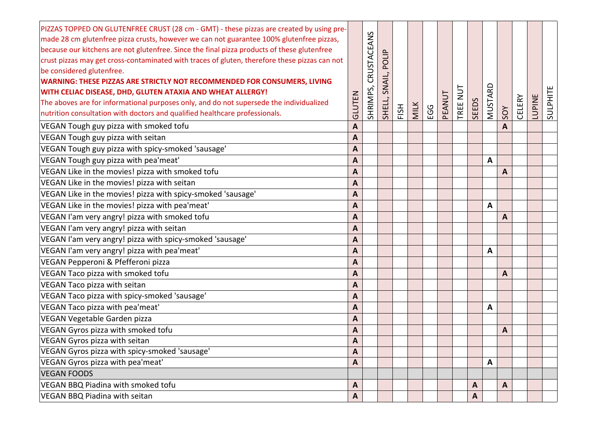| PIZZAS TOPPED ON GLUTENFREE CRUST (28 cm - GMT) - these pizzas are created by using pre-<br>made 28 cm glutenfree pizza crusts, however we can not guarantee 100% glutenfree pizzas,<br>because our kitchens are not glutenfree. Since the final pizza products of these glutenfree<br>crust pizzas may get cross-contaminated with traces of gluten, therefore these pizzas can not<br>be considered glutenfree.<br>WARNING: THESE PIZZAS ARE STRICTLY NOT RECOMMENDED FOR CONSUMERS, LIVING<br>WITH CELIAC DISEASE, DHD, GLUTEN ATAXIA AND WHEAT ALLERGY!<br>The aboves are for informational purposes only, and do not supersede the individualized<br>nutrition consultation with doctors and qualified healthcare professionals. | GLUTEN       | CRUSTACEANS<br>SHRIMPS, | POLIP<br>SNAIL,<br>SHELL, | FISH | <b>MILK</b> | EGG | PEANUT | TREE NUT | <b>SEEDS</b> | MUSTARD | SOY          | <b>CELERY</b> | LUPINE | SULPHITE |
|---------------------------------------------------------------------------------------------------------------------------------------------------------------------------------------------------------------------------------------------------------------------------------------------------------------------------------------------------------------------------------------------------------------------------------------------------------------------------------------------------------------------------------------------------------------------------------------------------------------------------------------------------------------------------------------------------------------------------------------|--------------|-------------------------|---------------------------|------|-------------|-----|--------|----------|--------------|---------|--------------|---------------|--------|----------|
| VEGAN Tough guy pizza with smoked tofu                                                                                                                                                                                                                                                                                                                                                                                                                                                                                                                                                                                                                                                                                                | A            |                         |                           |      |             |     |        |          |              |         | A            |               |        |          |
| VEGAN Tough guy pizza with seitan                                                                                                                                                                                                                                                                                                                                                                                                                                                                                                                                                                                                                                                                                                     | A            |                         |                           |      |             |     |        |          |              |         |              |               |        |          |
| VEGAN Tough guy pizza with spicy-smoked 'sausage'                                                                                                                                                                                                                                                                                                                                                                                                                                                                                                                                                                                                                                                                                     | A            |                         |                           |      |             |     |        |          |              |         |              |               |        |          |
| VEGAN Tough guy pizza with pea'meat'                                                                                                                                                                                                                                                                                                                                                                                                                                                                                                                                                                                                                                                                                                  | A            |                         |                           |      |             |     |        |          |              | A       |              |               |        |          |
| VEGAN Like in the movies! pizza with smoked tofu                                                                                                                                                                                                                                                                                                                                                                                                                                                                                                                                                                                                                                                                                      | A            |                         |                           |      |             |     |        |          |              |         | A            |               |        |          |
| VEGAN Like in the movies! pizza with seitan                                                                                                                                                                                                                                                                                                                                                                                                                                                                                                                                                                                                                                                                                           | A            |                         |                           |      |             |     |        |          |              |         |              |               |        |          |
| VEGAN Like in the movies! pizza with spicy-smoked 'sausage'                                                                                                                                                                                                                                                                                                                                                                                                                                                                                                                                                                                                                                                                           | A            |                         |                           |      |             |     |        |          |              |         |              |               |        |          |
| VEGAN Like in the movies! pizza with pea'meat'                                                                                                                                                                                                                                                                                                                                                                                                                                                                                                                                                                                                                                                                                        | A            |                         |                           |      |             |     |        |          |              | A       |              |               |        |          |
| VEGAN I'am very angry! pizza with smoked tofu                                                                                                                                                                                                                                                                                                                                                                                                                                                                                                                                                                                                                                                                                         | A            |                         |                           |      |             |     |        |          |              |         | A            |               |        |          |
| VEGAN I'am very angry! pizza with seitan                                                                                                                                                                                                                                                                                                                                                                                                                                                                                                                                                                                                                                                                                              | A            |                         |                           |      |             |     |        |          |              |         |              |               |        |          |
| VEGAN I'am very angry! pizza with spicy-smoked 'sausage'                                                                                                                                                                                                                                                                                                                                                                                                                                                                                                                                                                                                                                                                              | A            |                         |                           |      |             |     |        |          |              |         |              |               |        |          |
| VEGAN I'am very angry! pizza with pea'meat'                                                                                                                                                                                                                                                                                                                                                                                                                                                                                                                                                                                                                                                                                           | A            |                         |                           |      |             |     |        |          |              | A       |              |               |        |          |
| VEGAN Pepperoni & Pfefferoni pizza                                                                                                                                                                                                                                                                                                                                                                                                                                                                                                                                                                                                                                                                                                    | A            |                         |                           |      |             |     |        |          |              |         |              |               |        |          |
| VEGAN Taco pizza with smoked tofu                                                                                                                                                                                                                                                                                                                                                                                                                                                                                                                                                                                                                                                                                                     | A            |                         |                           |      |             |     |        |          |              |         | A            |               |        |          |
| VEGAN Taco pizza with seitan                                                                                                                                                                                                                                                                                                                                                                                                                                                                                                                                                                                                                                                                                                          | A            |                         |                           |      |             |     |        |          |              |         |              |               |        |          |
| VEGAN Taco pizza with spicy-smoked 'sausage'                                                                                                                                                                                                                                                                                                                                                                                                                                                                                                                                                                                                                                                                                          | A            |                         |                           |      |             |     |        |          |              |         |              |               |        |          |
| VEGAN Taco pizza with pea'meat'                                                                                                                                                                                                                                                                                                                                                                                                                                                                                                                                                                                                                                                                                                       | A            |                         |                           |      |             |     |        |          |              | A       |              |               |        |          |
| VEGAN Vegetable Garden pizza                                                                                                                                                                                                                                                                                                                                                                                                                                                                                                                                                                                                                                                                                                          | A            |                         |                           |      |             |     |        |          |              |         |              |               |        |          |
| VEGAN Gyros pizza with smoked tofu                                                                                                                                                                                                                                                                                                                                                                                                                                                                                                                                                                                                                                                                                                    | A            |                         |                           |      |             |     |        |          |              |         | A            |               |        |          |
| VEGAN Gyros pizza with seitan                                                                                                                                                                                                                                                                                                                                                                                                                                                                                                                                                                                                                                                                                                         | A            |                         |                           |      |             |     |        |          |              |         |              |               |        |          |
| VEGAN Gyros pizza with spicy-smoked 'sausage'                                                                                                                                                                                                                                                                                                                                                                                                                                                                                                                                                                                                                                                                                         | A            |                         |                           |      |             |     |        |          |              |         |              |               |        |          |
| VEGAN Gyros pizza with pea'meat'                                                                                                                                                                                                                                                                                                                                                                                                                                                                                                                                                                                                                                                                                                      | A            |                         |                           |      |             |     |        |          |              | A       |              |               |        |          |
| <b>VEGAN FOODS</b>                                                                                                                                                                                                                                                                                                                                                                                                                                                                                                                                                                                                                                                                                                                    |              |                         |                           |      |             |     |        |          |              |         |              |               |        |          |
| VEGAN BBQ Piadina with smoked tofu                                                                                                                                                                                                                                                                                                                                                                                                                                                                                                                                                                                                                                                                                                    | $\mathsf{A}$ |                         |                           |      |             |     |        |          | $\mathbf{A}$ |         | $\mathbf{A}$ |               |        |          |
| VEGAN BBQ Piadina with seitan                                                                                                                                                                                                                                                                                                                                                                                                                                                                                                                                                                                                                                                                                                         | A            |                         |                           |      |             |     |        |          | A            |         |              |               |        |          |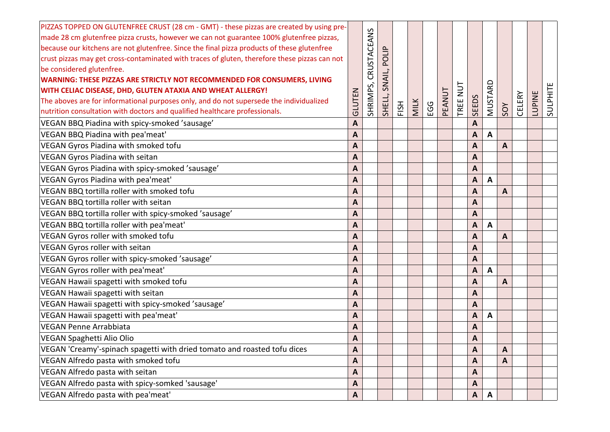| PIZZAS TOPPED ON GLUTENFREE CRUST (28 cm - GMT) - these pizzas are created by using pre-      |              |             |        |      |             |     |        |                |              |              |     |               |               |          |
|-----------------------------------------------------------------------------------------------|--------------|-------------|--------|------|-------------|-----|--------|----------------|--------------|--------------|-----|---------------|---------------|----------|
| made 28 cm glutenfree pizza crusts, however we can not guarantee 100% glutenfree pizzas,      |              | CRUSTACEANS |        |      |             |     |        |                |              |              |     |               |               |          |
| because our kitchens are not glutenfree. Since the final pizza products of these glutenfree   |              |             |        |      |             |     |        |                |              |              |     |               |               |          |
| crust pizzas may get cross-contaminated with traces of gluten, therefore these pizzas can not |              |             | POLIF  |      |             |     |        |                |              |              |     |               |               |          |
| be considered glutenfree.                                                                     |              |             |        |      |             |     |        |                |              |              |     |               |               |          |
| WARNING: THESE PIZZAS ARE STRICTLY NOT RECOMMENDED FOR CONSUMERS, LIVING                      |              |             | SNAIL, |      |             |     |        |                |              |              |     |               |               |          |
| WITH CELIAC DISEASE, DHD, GLUTEN ATAXIA AND WHEAT ALLERGY!                                    |              |             |        |      |             |     |        | $\overline{u}$ |              |              |     |               |               |          |
| The aboves are for informational purposes only, and do not supersede the individualized       | GLUTEN       | SHRIMPS,    | SHELL, | FISH | <b>MILK</b> | EGG | PEANUT | TREE           | <b>SEEDS</b> | MUSTARD      |     | <b>CELERY</b> | <b>LUPINE</b> | SULPHITE |
| nutrition consultation with doctors and qualified healthcare professionals.                   |              |             |        |      |             |     |        |                |              |              | SOY |               |               |          |
| VEGAN BBQ Piadina with spicy-smoked 'sausage'                                                 | A            |             |        |      |             |     |        |                | $\mathbf{A}$ |              |     |               |               |          |
| VEGAN BBQ Piadina with pea'meat'                                                              | A            |             |        |      |             |     |        |                | A            | A            |     |               |               |          |
| VEGAN Gyros Piadina with smoked tofu                                                          | A            |             |        |      |             |     |        |                | A            |              | A   |               |               |          |
| VEGAN Gyros Piadina with seitan                                                               | A            |             |        |      |             |     |        |                | A            |              |     |               |               |          |
| VEGAN Gyros Piadina with spicy-smoked 'sausage'                                               | $\mathbf{A}$ |             |        |      |             |     |        |                | $\mathbf{A}$ |              |     |               |               |          |
| VEGAN Gyros Piadina with pea'meat'                                                            | A            |             |        |      |             |     |        |                | A            | $\mathbf{A}$ |     |               |               |          |
| VEGAN BBQ tortilla roller with smoked tofu                                                    | A            |             |        |      |             |     |        |                | A            |              | A   |               |               |          |
| VEGAN BBQ tortilla roller with seitan                                                         | A            |             |        |      |             |     |        |                | A            |              |     |               |               |          |
| VEGAN BBQ tortilla roller with spicy-smoked 'sausage'                                         | A            |             |        |      |             |     |        |                | A            |              |     |               |               |          |
| VEGAN BBQ tortilla roller with pea'meat'                                                      | A            |             |        |      |             |     |        |                | A            | $\mathbf{A}$ |     |               |               |          |
| VEGAN Gyros roller with smoked tofu                                                           | A            |             |        |      |             |     |        |                | A            |              | A   |               |               |          |
| VEGAN Gyros roller with seitan                                                                | A            |             |        |      |             |     |        |                | A            |              |     |               |               |          |
| VEGAN Gyros roller with spicy-smoked 'sausage'                                                | A            |             |        |      |             |     |        |                | A            |              |     |               |               |          |
| VEGAN Gyros roller with pea'meat'                                                             | A            |             |        |      |             |     |        |                | A            | A            |     |               |               |          |
| VEGAN Hawaii spagetti with smoked tofu                                                        | $\mathbf{A}$ |             |        |      |             |     |        |                | A            |              | A   |               |               |          |
| VEGAN Hawaii spagetti with seitan                                                             | A            |             |        |      |             |     |        |                | A            |              |     |               |               |          |
| VEGAN Hawaii spagetti with spicy-smoked 'sausage'                                             | A            |             |        |      |             |     |        |                | A            |              |     |               |               |          |
| VEGAN Hawaii spagetti with pea'meat'                                                          | A            |             |        |      |             |     |        |                | A            | A            |     |               |               |          |
| <b>VEGAN Penne Arrabbiata</b>                                                                 | A            |             |        |      |             |     |        |                | A            |              |     |               |               |          |
| <b>VEGAN Spaghetti Alio Olio</b>                                                              | A            |             |        |      |             |     |        |                | A            |              |     |               |               |          |
| VEGAN 'Creamy'-spinach spagetti with dried tomato and roasted tofu dices                      | A            |             |        |      |             |     |        |                | A            |              | A   |               |               |          |
| VEGAN Alfredo pasta with smoked tofu                                                          | A            |             |        |      |             |     |        |                | A            |              | A   |               |               |          |
| VEGAN Alfredo pasta with seitan                                                               | $\mathbf{A}$ |             |        |      |             |     |        |                | A            |              |     |               |               |          |
| VEGAN Alfredo pasta with spicy-somked 'sausage'                                               | $\mathbf{A}$ |             |        |      |             |     |        |                | $\mathbf{A}$ |              |     |               |               |          |
| VEGAN Alfredo pasta with pea'meat'                                                            | $\mathbf{A}$ |             |        |      |             |     |        |                | $\mathsf{A}$ | $\mathsf{A}$ |     |               |               |          |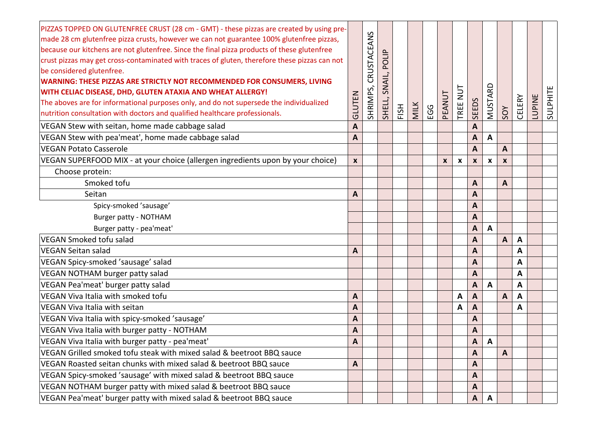| PIZZAS TOPPED ON GLUTENFREE CRUST (28 cm - GMT) - these pizzas are created by using pre-<br>made 28 cm glutenfree pizza crusts, however we can not guarantee 100% glutenfree pizzas,<br>because our kitchens are not glutenfree. Since the final pizza products of these glutenfree<br>crust pizzas may get cross-contaminated with traces of gluten, therefore these pizzas can not<br>be considered glutenfree.<br><b>WARNING: THESE PIZZAS ARE STRICTLY NOT RECOMMENDED FOR CONSUMERS, LIVING</b><br>WITH CELIAC DISEASE, DHD, GLUTEN ATAXIA AND WHEAT ALLERGY!<br>The aboves are for informational purposes only, and do not supersede the individualized<br>nutrition consultation with doctors and qualified healthcare professionals. | GLUTEN           | CRUSTACEANS<br>SHRIMPS, | <b>OLIP</b><br>مَ<br>SNAIL,<br>SHELL, | FISH | <b>MILK</b> | <b>EGG</b> | PEANUT           | NUT<br>TREE | <b>SEEDS</b> | MUSTARD                   | SOY | <b>CELERY</b> | <b>LUPINE</b> | SULPHITE |
|----------------------------------------------------------------------------------------------------------------------------------------------------------------------------------------------------------------------------------------------------------------------------------------------------------------------------------------------------------------------------------------------------------------------------------------------------------------------------------------------------------------------------------------------------------------------------------------------------------------------------------------------------------------------------------------------------------------------------------------------|------------------|-------------------------|---------------------------------------|------|-------------|------------|------------------|-------------|--------------|---------------------------|-----|---------------|---------------|----------|
| VEGAN Stew with seitan, home made cabbage salad                                                                                                                                                                                                                                                                                                                                                                                                                                                                                                                                                                                                                                                                                              | A                |                         |                                       |      |             |            |                  |             | A            |                           |     |               |               |          |
| VEGAN Stew with pea'meat', home made cabbage salad                                                                                                                                                                                                                                                                                                                                                                                                                                                                                                                                                                                                                                                                                           | A                |                         |                                       |      |             |            |                  |             | A            | A                         |     |               |               |          |
| <b>VEGAN Potato Casserole</b>                                                                                                                                                                                                                                                                                                                                                                                                                                                                                                                                                                                                                                                                                                                |                  |                         |                                       |      |             |            |                  |             | A            |                           | A   |               |               |          |
| VEGAN SUPERFOOD MIX - at your choice (allergen ingredients upon by your choice)                                                                                                                                                                                                                                                                                                                                                                                                                                                                                                                                                                                                                                                              | $\boldsymbol{x}$ |                         |                                       |      |             |            | $\boldsymbol{x}$ | x           | X            | $\boldsymbol{\mathsf{x}}$ | X   |               |               |          |
| Choose protein:                                                                                                                                                                                                                                                                                                                                                                                                                                                                                                                                                                                                                                                                                                                              |                  |                         |                                       |      |             |            |                  |             |              |                           |     |               |               |          |
| Smoked tofu                                                                                                                                                                                                                                                                                                                                                                                                                                                                                                                                                                                                                                                                                                                                  |                  |                         |                                       |      |             |            |                  |             | A            |                           | A   |               |               |          |
| Seitan                                                                                                                                                                                                                                                                                                                                                                                                                                                                                                                                                                                                                                                                                                                                       | A                |                         |                                       |      |             |            |                  |             | A            |                           |     |               |               |          |
| Spicy-smoked 'sausage'                                                                                                                                                                                                                                                                                                                                                                                                                                                                                                                                                                                                                                                                                                                       |                  |                         |                                       |      |             |            |                  |             | A            |                           |     |               |               |          |
| Burger patty - NOTHAM                                                                                                                                                                                                                                                                                                                                                                                                                                                                                                                                                                                                                                                                                                                        |                  |                         |                                       |      |             |            |                  |             | A            |                           |     |               |               |          |
| Burger patty - pea'meat'                                                                                                                                                                                                                                                                                                                                                                                                                                                                                                                                                                                                                                                                                                                     |                  |                         |                                       |      |             |            |                  |             | A            | A                         |     |               |               |          |
| VEGAN Smoked tofu salad                                                                                                                                                                                                                                                                                                                                                                                                                                                                                                                                                                                                                                                                                                                      |                  |                         |                                       |      |             |            |                  |             | A            |                           | A   | $\mathbf{A}$  |               |          |
| <b>VEGAN Seitan salad</b>                                                                                                                                                                                                                                                                                                                                                                                                                                                                                                                                                                                                                                                                                                                    | A                |                         |                                       |      |             |            |                  |             | A            |                           |     | A             |               |          |
| VEGAN Spicy-smoked 'sausage' salad                                                                                                                                                                                                                                                                                                                                                                                                                                                                                                                                                                                                                                                                                                           |                  |                         |                                       |      |             |            |                  |             | A            |                           |     | A             |               |          |
| VEGAN NOTHAM burger patty salad                                                                                                                                                                                                                                                                                                                                                                                                                                                                                                                                                                                                                                                                                                              |                  |                         |                                       |      |             |            |                  |             | A            |                           |     | A             |               |          |
| VEGAN Pea'meat' burger patty salad                                                                                                                                                                                                                                                                                                                                                                                                                                                                                                                                                                                                                                                                                                           |                  |                         |                                       |      |             |            |                  |             | A            | A                         |     | A             |               |          |
| VEGAN Viva Italia with smoked tofu                                                                                                                                                                                                                                                                                                                                                                                                                                                                                                                                                                                                                                                                                                           | A                |                         |                                       |      |             |            |                  | A           | A            |                           | A   | A             |               |          |
| VEGAN Viva Italia with seitan                                                                                                                                                                                                                                                                                                                                                                                                                                                                                                                                                                                                                                                                                                                | A                |                         |                                       |      |             |            |                  | A           | A            |                           |     | A             |               |          |
| VEGAN Viva Italia with spicy-smoked 'sausage'                                                                                                                                                                                                                                                                                                                                                                                                                                                                                                                                                                                                                                                                                                | A                |                         |                                       |      |             |            |                  |             | A            |                           |     |               |               |          |
| VEGAN Viva Italia with burger patty - NOTHAM                                                                                                                                                                                                                                                                                                                                                                                                                                                                                                                                                                                                                                                                                                 | A                |                         |                                       |      |             |            |                  |             | A            |                           |     |               |               |          |
| VEGAN Viva Italia with burger patty - pea'meat'                                                                                                                                                                                                                                                                                                                                                                                                                                                                                                                                                                                                                                                                                              | A                |                         |                                       |      |             |            |                  |             | A            | A                         |     |               |               |          |
| VEGAN Grilled smoked tofu steak with mixed salad & beetroot BBQ sauce                                                                                                                                                                                                                                                                                                                                                                                                                                                                                                                                                                                                                                                                        |                  |                         |                                       |      |             |            |                  |             | A            |                           | A   |               |               |          |
| VEGAN Roasted seitan chunks with mixed salad & beetroot BBQ sauce                                                                                                                                                                                                                                                                                                                                                                                                                                                                                                                                                                                                                                                                            | A                |                         |                                       |      |             |            |                  |             | A            |                           |     |               |               |          |
| VEGAN Spicy-smoked 'sausage' with mixed salad & beetroot BBQ sauce                                                                                                                                                                                                                                                                                                                                                                                                                                                                                                                                                                                                                                                                           |                  |                         |                                       |      |             |            |                  |             | A            |                           |     |               |               |          |
| VEGAN NOTHAM burger patty with mixed salad & beetroot BBQ sauce                                                                                                                                                                                                                                                                                                                                                                                                                                                                                                                                                                                                                                                                              |                  |                         |                                       |      |             |            |                  |             | Α            |                           |     |               |               |          |
| VEGAN Pea'meat' burger patty with mixed salad & beetroot BBQ sauce                                                                                                                                                                                                                                                                                                                                                                                                                                                                                                                                                                                                                                                                           |                  |                         |                                       |      |             |            |                  |             | A            | A                         |     |               |               |          |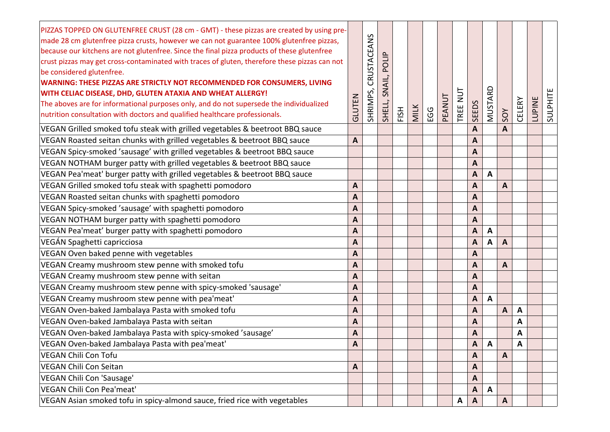| PIZZAS TOPPED ON GLUTENFREE CRUST (28 cm - GMT) - these pizzas are created by using pre-<br>made 28 cm glutenfree pizza crusts, however we can not guarantee 100% glutenfree pizzas,<br>because our kitchens are not glutenfree. Since the final pizza products of these glutenfree<br>crust pizzas may get cross-contaminated with traces of gluten, therefore these pizzas can not<br>be considered glutenfree.<br>WARNING: THESE PIZZAS ARE STRICTLY NOT RECOMMENDED FOR CONSUMERS, LIVING<br>WITH CELIAC DISEASE, DHD, GLUTEN ATAXIA AND WHEAT ALLERGY!<br>The aboves are for informational purposes only, and do not supersede the individualized<br>nutrition consultation with doctors and qualified healthcare professionals. | GLUTEN           | CRUSTACEANS<br>SHRIMPS, | POLIP<br>SNAIL,<br>SHELL, | FISH | MILK | EGG | PEANUT | $\overline{a}$<br>TREE | <b>SEEDS</b>   | MUSTARD | SOY          | CELERY       | <b>LUPINE</b> | SULPHITE |
|---------------------------------------------------------------------------------------------------------------------------------------------------------------------------------------------------------------------------------------------------------------------------------------------------------------------------------------------------------------------------------------------------------------------------------------------------------------------------------------------------------------------------------------------------------------------------------------------------------------------------------------------------------------------------------------------------------------------------------------|------------------|-------------------------|---------------------------|------|------|-----|--------|------------------------|----------------|---------|--------------|--------------|---------------|----------|
| VEGAN Grilled smoked tofu steak with grilled vegetables & beetroot BBQ sauce                                                                                                                                                                                                                                                                                                                                                                                                                                                                                                                                                                                                                                                          |                  |                         |                           |      |      |     |        |                        | A              |         | A            |              |               |          |
| VEGAN Roasted seitan chunks with grilled vegetables & beetroot BBQ sauce                                                                                                                                                                                                                                                                                                                                                                                                                                                                                                                                                                                                                                                              | A                |                         |                           |      |      |     |        |                        | A              |         |              |              |               |          |
| VEGAN Spicy-smoked 'sausage' with grilled vegetables & beetroot BBQ sauce                                                                                                                                                                                                                                                                                                                                                                                                                                                                                                                                                                                                                                                             |                  |                         |                           |      |      |     |        |                        | A              |         |              |              |               |          |
| VEGAN NOTHAM burger patty with grilled vegetables & beetroot BBQ sauce                                                                                                                                                                                                                                                                                                                                                                                                                                                                                                                                                                                                                                                                |                  |                         |                           |      |      |     |        |                        | A              |         |              |              |               |          |
| VEGAN Pea'meat' burger patty with grilled vegetables & beetroot BBQ sauce                                                                                                                                                                                                                                                                                                                                                                                                                                                                                                                                                                                                                                                             |                  |                         |                           |      |      |     |        |                        | $\mathbf{A}$   | A       |              |              |               |          |
| VEGAN Grilled smoked tofu steak with spaghetti pomodoro                                                                                                                                                                                                                                                                                                                                                                                                                                                                                                                                                                                                                                                                               | A                |                         |                           |      |      |     |        |                        | A              |         | A            |              |               |          |
| VEGAN Roasted seitan chunks with spaghetti pomodoro                                                                                                                                                                                                                                                                                                                                                                                                                                                                                                                                                                                                                                                                                   | A                |                         |                           |      |      |     |        |                        | Α              |         |              |              |               |          |
| VEGAN Spicy-smoked 'sausage' with spaghetti pomodoro                                                                                                                                                                                                                                                                                                                                                                                                                                                                                                                                                                                                                                                                                  | $\mathbf{A}$     |                         |                           |      |      |     |        |                        | A              |         |              |              |               |          |
| VEGAN NOTHAM burger patty with spaghetti pomodoro                                                                                                                                                                                                                                                                                                                                                                                                                                                                                                                                                                                                                                                                                     | A                |                         |                           |      |      |     |        |                        | A              |         |              |              |               |          |
| VEGAN Pea'meat' burger patty with spaghetti pomodoro                                                                                                                                                                                                                                                                                                                                                                                                                                                                                                                                                                                                                                                                                  | $\boldsymbol{A}$ |                         |                           |      |      |     |        |                        | A              | A       |              |              |               |          |
| VEGÁN Spaghetti capricciosa                                                                                                                                                                                                                                                                                                                                                                                                                                                                                                                                                                                                                                                                                                           | A                |                         |                           |      |      |     |        |                        | A              | A       | A            |              |               |          |
| VEGAN Oven baked penne with vegetables                                                                                                                                                                                                                                                                                                                                                                                                                                                                                                                                                                                                                                                                                                | A                |                         |                           |      |      |     |        |                        | A              |         |              |              |               |          |
| VEGAN Creamy mushroom stew penne with smoked tofu                                                                                                                                                                                                                                                                                                                                                                                                                                                                                                                                                                                                                                                                                     | $\mathbf{A}$     |                         |                           |      |      |     |        |                        | A              |         | $\mathbf{A}$ |              |               |          |
| VEGAN Creamy mushroom stew penne with seitan                                                                                                                                                                                                                                                                                                                                                                                                                                                                                                                                                                                                                                                                                          | A                |                         |                           |      |      |     |        |                        | A              |         |              |              |               |          |
| VEGAN Creamy mushroom stew penne with spicy-smoked 'sausage'                                                                                                                                                                                                                                                                                                                                                                                                                                                                                                                                                                                                                                                                          | $\boldsymbol{A}$ |                         |                           |      |      |     |        |                        | A              |         |              |              |               |          |
| VEGAN Creamy mushroom stew penne with pea'meat'                                                                                                                                                                                                                                                                                                                                                                                                                                                                                                                                                                                                                                                                                       | A                |                         |                           |      |      |     |        |                        | A              | A       |              |              |               |          |
| VEGAN Oven-baked Jambalaya Pasta with smoked tofu                                                                                                                                                                                                                                                                                                                                                                                                                                                                                                                                                                                                                                                                                     | A                |                         |                           |      |      |     |        |                        | A              |         | A            | $\mathbf{A}$ |               |          |
| VEGAN Oven-baked Jambalaya Pasta with seitan                                                                                                                                                                                                                                                                                                                                                                                                                                                                                                                                                                                                                                                                                          | $\boldsymbol{A}$ |                         |                           |      |      |     |        |                        | A              |         |              | A            |               |          |
| VEGAN Oven-baked Jambalaya Pasta with spicy-smoked 'sausage'                                                                                                                                                                                                                                                                                                                                                                                                                                                                                                                                                                                                                                                                          | A                |                         |                           |      |      |     |        |                        | A              |         |              | A            |               |          |
| VEGAN Oven-baked Jambalaya Pasta with pea'meat'                                                                                                                                                                                                                                                                                                                                                                                                                                                                                                                                                                                                                                                                                       | $\mathsf{A}$     |                         |                           |      |      |     |        |                        | A              | A       |              | A            |               |          |
| <b>VEGAN Chili Con Tofu</b>                                                                                                                                                                                                                                                                                                                                                                                                                                                                                                                                                                                                                                                                                                           |                  |                         |                           |      |      |     |        |                        | A              |         | A            |              |               |          |
| <b>VEGAN Chili Con Seitan</b>                                                                                                                                                                                                                                                                                                                                                                                                                                                                                                                                                                                                                                                                                                         | A                |                         |                           |      |      |     |        |                        | A              |         |              |              |               |          |
| VEGAN Chili Con 'Sausage'                                                                                                                                                                                                                                                                                                                                                                                                                                                                                                                                                                                                                                                                                                             |                  |                         |                           |      |      |     |        |                        | A              |         |              |              |               |          |
| VEGAN Chili Con Pea'meat'                                                                                                                                                                                                                                                                                                                                                                                                                                                                                                                                                                                                                                                                                                             |                  |                         |                           |      |      |     |        |                        | $\overline{A}$ | A       |              |              |               |          |
| VEGAN Asian smoked tofu in spicy-almond sauce, fried rice with vegetables                                                                                                                                                                                                                                                                                                                                                                                                                                                                                                                                                                                                                                                             |                  |                         |                           |      |      |     |        | A                      | $\mathsf{A}$   |         | A            |              |               |          |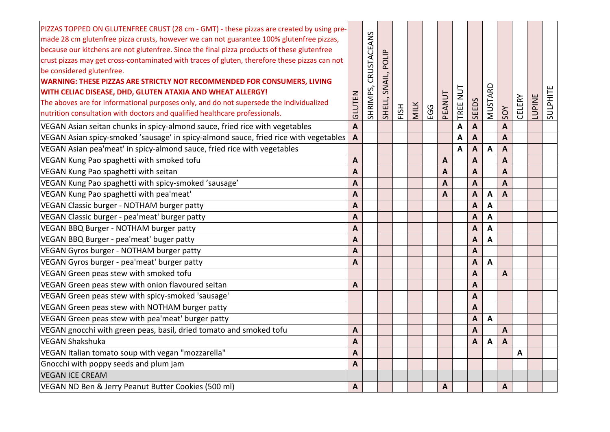| PIZZAS TOPPED ON GLUTENFREE CRUST (28 cm - GMT) - these pizzas are created by using pre-<br>made 28 cm glutenfree pizza crusts, however we can not guarantee 100% glutenfree pizzas, |                  |             |        |      |             |     |                |          |                           |                  |                |               |               |          |
|--------------------------------------------------------------------------------------------------------------------------------------------------------------------------------------|------------------|-------------|--------|------|-------------|-----|----------------|----------|---------------------------|------------------|----------------|---------------|---------------|----------|
| because our kitchens are not glutenfree. Since the final pizza products of these glutenfree                                                                                          |                  | CRUSTACEANS |        |      |             |     |                |          |                           |                  |                |               |               |          |
| crust pizzas may get cross-contaminated with traces of gluten, therefore these pizzas can not                                                                                        |                  |             | POLIP  |      |             |     |                |          |                           |                  |                |               |               |          |
| be considered glutenfree.                                                                                                                                                            |                  |             |        |      |             |     |                |          |                           |                  |                |               |               |          |
| WARNING: THESE PIZZAS ARE STRICTLY NOT RECOMMENDED FOR CONSUMERS, LIVING                                                                                                             |                  |             | SNAIL, |      |             |     |                |          |                           |                  |                |               |               |          |
| WITH CELIAC DISEASE, DHD, GLUTEN ATAXIA AND WHEAT ALLERGY!                                                                                                                           |                  |             |        |      |             |     |                |          |                           |                  |                |               |               |          |
| The aboves are for informational purposes only, and do not supersede the individualized                                                                                              |                  |             |        |      |             |     |                |          |                           |                  |                |               |               |          |
| nutrition consultation with doctors and qualified healthcare professionals.                                                                                                          | GLUTEN           | SHRIMPS,    | SHELL, | FISH | <b>MILK</b> | EGG | PEANUT         | TREE NUT | <b>SEEDS</b>              | MUSTARD          | SOY            | <b>CELERY</b> | <b>LUPINE</b> | SULPHITE |
| VEGAN Asian seitan chunks in spicy-almond sauce, fried rice with vegetables                                                                                                          | $\boldsymbol{A}$ |             |        |      |             |     |                | A        | $\overline{A}$            |                  | $\overline{A}$ |               |               |          |
| VEGAN Asian spicy-smoked 'sausage' in spicy-almond sauce, fried rice with vegetables                                                                                                 | A                |             |        |      |             |     |                | A        | $\boldsymbol{A}$          |                  | A              |               |               |          |
| VEGAN Asian pea'meat' in spicy-almond sauce, fried rice with vegetables                                                                                                              |                  |             |        |      |             |     |                | A        | $\boldsymbol{\mathsf{A}}$ | $\boldsymbol{A}$ | $\overline{A}$ |               |               |          |
| VEGAN Kung Pao spaghetti with smoked tofu                                                                                                                                            | A                |             |        |      |             |     | A              |          | $\boldsymbol{\mathsf{A}}$ |                  | $\overline{A}$ |               |               |          |
| VEGAN Kung Pao spaghetti with seitan                                                                                                                                                 | $\overline{A}$   |             |        |      |             |     | A              |          | $\boldsymbol{A}$          |                  | $\overline{A}$ |               |               |          |
| VEGAN Kung Pao spaghetti with spicy-smoked 'sausage'                                                                                                                                 | $\overline{A}$   |             |        |      |             |     | $\overline{A}$ |          | $\overline{A}$            |                  | $\overline{A}$ |               |               |          |
| VEGAN Kung Pao spaghetti with pea'meat'                                                                                                                                              | $\overline{A}$   |             |        |      |             |     | $\mathbf{A}$   |          | $\boldsymbol{A}$          | $\mathbf{A}$     | $\overline{A}$ |               |               |          |
| VEGAN Classic burger - NOTHAM burger patty                                                                                                                                           | A                |             |        |      |             |     |                |          | $\boldsymbol{A}$          | A                |                |               |               |          |
| VEGAN Classic burger - pea'meat' burger patty                                                                                                                                        | A                |             |        |      |             |     |                |          | $\boldsymbol{A}$          | A                |                |               |               |          |
| VEGAN BBQ Burger - NOTHAM burger patty                                                                                                                                               | A                |             |        |      |             |     |                |          | $\boldsymbol{A}$          | A                |                |               |               |          |
| VEGAN BBQ Burger - pea'meat' buger patty                                                                                                                                             | A                |             |        |      |             |     |                |          | $\overline{A}$            | A                |                |               |               |          |
| VEGAN Gyros burger - NOTHAM burger patty                                                                                                                                             | A                |             |        |      |             |     |                |          | $\overline{A}$            |                  |                |               |               |          |
| VEGAN Gyros burger - pea'meat' burger patty                                                                                                                                          | $\mathbf{A}$     |             |        |      |             |     |                |          | $\boldsymbol{\mathsf{A}}$ | A                |                |               |               |          |
| VEGAN Green peas stew with smoked tofu                                                                                                                                               |                  |             |        |      |             |     |                |          | $\mathbf{A}$              |                  | A              |               |               |          |
| VEGAN Green peas stew with onion flavoured seitan                                                                                                                                    | A                |             |        |      |             |     |                |          | $\overline{A}$            |                  |                |               |               |          |
| VEGAN Green peas stew with spicy-smoked 'sausage'                                                                                                                                    |                  |             |        |      |             |     |                |          | $\boldsymbol{A}$          |                  |                |               |               |          |
| VEGAN Green peas stew with NOTHAM burger patty                                                                                                                                       |                  |             |        |      |             |     |                |          | $\overline{A}$            |                  |                |               |               |          |
| VEGAN Green peas stew with pea'meat' burger patty                                                                                                                                    |                  |             |        |      |             |     |                |          | $\overline{A}$            | $\mathbf{A}$     |                |               |               |          |
| VEGAN gnocchi with green peas, basil, dried tomato and smoked tofu                                                                                                                   | $\overline{A}$   |             |        |      |             |     |                |          | $\overline{A}$            |                  | $\overline{A}$ |               |               |          |
| <b>VEGAN Shakshuka</b>                                                                                                                                                               | A                |             |        |      |             |     |                |          | A                         | Α                | $\mathbf{A}$   |               |               |          |
| VEGAN Italian tomato soup with vegan "mozzarella"                                                                                                                                    | $\overline{A}$   |             |        |      |             |     |                |          |                           |                  |                | A             |               |          |
| Gnocchi with poppy seeds and plum jam                                                                                                                                                | A                |             |        |      |             |     |                |          |                           |                  |                |               |               |          |
| <b>VEGAN ICE CREAM</b>                                                                                                                                                               |                  |             |        |      |             |     |                |          |                           |                  |                |               |               |          |
| VEGAN ND Ben & Jerry Peanut Butter Cookies (500 ml)                                                                                                                                  | $\boldsymbol{A}$ |             |        |      |             |     | A              |          |                           |                  | A              |               |               |          |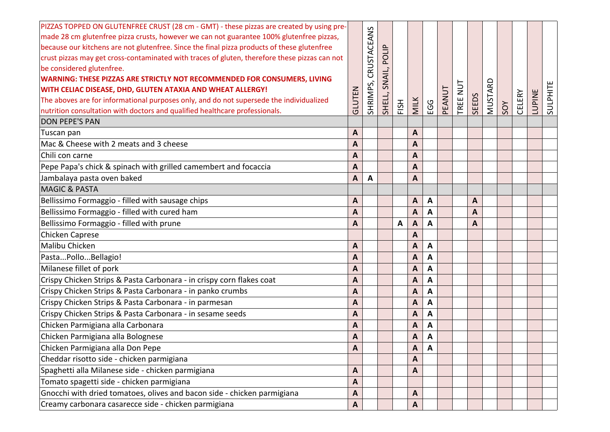| PIZZAS TOPPED ON GLUTENFREE CRUST (28 cm - GMT) - these pizzas are created by using pre-<br>made 28 cm glutenfree pizza crusts, however we can not guarantee 100% glutenfree pizzas,<br>because our kitchens are not glutenfree. Since the final pizza products of these glutenfree<br>crust pizzas may get cross-contaminated with traces of gluten, therefore these pizzas can not<br>be considered glutenfree.<br><b>WARNING: THESE PIZZAS ARE STRICTLY NOT RECOMMENDED FOR CONSUMERS, LIVING</b><br>WITH CELIAC DISEASE, DHD, GLUTEN ATAXIA AND WHEAT ALLERGY!<br>The aboves are for informational purposes only, and do not supersede the individualized<br>nutrition consultation with doctors and qualified healthcare professionals.<br><b>DON PEPE'S PAN</b> | GLUTEN       | CRUSTACEANS<br>SHRIMPS, | POLIP<br>SNAIL,<br>SHELL, | FISH | MILK           | EGG          | PEANUT | TUN<br>TREE | <b>SEEDS</b> | MUSTARD | SOY | <b>CELERY</b> | LUPINE | SULPHITE |
|-----------------------------------------------------------------------------------------------------------------------------------------------------------------------------------------------------------------------------------------------------------------------------------------------------------------------------------------------------------------------------------------------------------------------------------------------------------------------------------------------------------------------------------------------------------------------------------------------------------------------------------------------------------------------------------------------------------------------------------------------------------------------|--------------|-------------------------|---------------------------|------|----------------|--------------|--------|-------------|--------------|---------|-----|---------------|--------|----------|
| Tuscan pan                                                                                                                                                                                                                                                                                                                                                                                                                                                                                                                                                                                                                                                                                                                                                            | A            |                         |                           |      | A              |              |        |             |              |         |     |               |        |          |
| Mac & Cheese with 2 meats and 3 cheese                                                                                                                                                                                                                                                                                                                                                                                                                                                                                                                                                                                                                                                                                                                                | A            |                         |                           |      | A              |              |        |             |              |         |     |               |        |          |
| Chili con carne                                                                                                                                                                                                                                                                                                                                                                                                                                                                                                                                                                                                                                                                                                                                                       | A            |                         |                           |      | A              |              |        |             |              |         |     |               |        |          |
| Pepe Papa's chick & spinach with grilled camembert and focaccia                                                                                                                                                                                                                                                                                                                                                                                                                                                                                                                                                                                                                                                                                                       | A            |                         |                           |      | A              |              |        |             |              |         |     |               |        |          |
| Jambalaya pasta oven baked                                                                                                                                                                                                                                                                                                                                                                                                                                                                                                                                                                                                                                                                                                                                            | A            | A                       |                           |      | A              |              |        |             |              |         |     |               |        |          |
| <b>MAGIC &amp; PASTA</b>                                                                                                                                                                                                                                                                                                                                                                                                                                                                                                                                                                                                                                                                                                                                              |              |                         |                           |      |                |              |        |             |              |         |     |               |        |          |
| Bellissimo Formaggio - filled with sausage chips                                                                                                                                                                                                                                                                                                                                                                                                                                                                                                                                                                                                                                                                                                                      | A            |                         |                           |      | A              | $\mathbf{A}$ |        |             | A            |         |     |               |        |          |
| Bellissimo Formaggio - filled with cured ham                                                                                                                                                                                                                                                                                                                                                                                                                                                                                                                                                                                                                                                                                                                          | A            |                         |                           |      | A              | A            |        |             | A            |         |     |               |        |          |
| Bellissimo Formaggio - filled with prune                                                                                                                                                                                                                                                                                                                                                                                                                                                                                                                                                                                                                                                                                                                              | A            |                         |                           | A    | $\overline{A}$ | A            |        |             | $\mathbf{A}$ |         |     |               |        |          |
| Chicken Caprese                                                                                                                                                                                                                                                                                                                                                                                                                                                                                                                                                                                                                                                                                                                                                       |              |                         |                           |      | A              |              |        |             |              |         |     |               |        |          |
| Malibu Chicken                                                                                                                                                                                                                                                                                                                                                                                                                                                                                                                                                                                                                                                                                                                                                        | $\mathbf{A}$ |                         |                           |      | A              | A            |        |             |              |         |     |               |        |          |
| PastaPolloBellagio!                                                                                                                                                                                                                                                                                                                                                                                                                                                                                                                                                                                                                                                                                                                                                   | A            |                         |                           |      | A              | $\mathbf{A}$ |        |             |              |         |     |               |        |          |
| Milanese fillet of pork                                                                                                                                                                                                                                                                                                                                                                                                                                                                                                                                                                                                                                                                                                                                               | $\mathbf{A}$ |                         |                           |      | A              | A            |        |             |              |         |     |               |        |          |
| Crispy Chicken Strips & Pasta Carbonara - in crispy corn flakes coat                                                                                                                                                                                                                                                                                                                                                                                                                                                                                                                                                                                                                                                                                                  | A            |                         |                           |      | A              | A            |        |             |              |         |     |               |        |          |
| Crispy Chicken Strips & Pasta Carbonara - in panko crumbs                                                                                                                                                                                                                                                                                                                                                                                                                                                                                                                                                                                                                                                                                                             | A            |                         |                           |      | A              | A            |        |             |              |         |     |               |        |          |
| Crispy Chicken Strips & Pasta Carbonara - in parmesan                                                                                                                                                                                                                                                                                                                                                                                                                                                                                                                                                                                                                                                                                                                 | $\mathbf{A}$ |                         |                           |      | A              | A            |        |             |              |         |     |               |        |          |
| Crispy Chicken Strips & Pasta Carbonara - in sesame seeds                                                                                                                                                                                                                                                                                                                                                                                                                                                                                                                                                                                                                                                                                                             | A            |                         |                           |      | A              | $\mathbf{A}$ |        |             |              |         |     |               |        |          |
| Chicken Parmigiana alla Carbonara                                                                                                                                                                                                                                                                                                                                                                                                                                                                                                                                                                                                                                                                                                                                     | $\mathbf{A}$ |                         |                           |      | A              | A            |        |             |              |         |     |               |        |          |
| Chicken Parmigiana alla Bolognese                                                                                                                                                                                                                                                                                                                                                                                                                                                                                                                                                                                                                                                                                                                                     | A            |                         |                           |      | A              | A            |        |             |              |         |     |               |        |          |
| Chicken Parmigiana alla Don Pepe                                                                                                                                                                                                                                                                                                                                                                                                                                                                                                                                                                                                                                                                                                                                      | A            |                         |                           |      | A              | A            |        |             |              |         |     |               |        |          |
| Cheddar risotto side - chicken parmigiana                                                                                                                                                                                                                                                                                                                                                                                                                                                                                                                                                                                                                                                                                                                             |              |                         |                           |      | A              |              |        |             |              |         |     |               |        |          |
| Spaghetti alla Milanese side - chicken parmigiana                                                                                                                                                                                                                                                                                                                                                                                                                                                                                                                                                                                                                                                                                                                     | A            |                         |                           |      | А              |              |        |             |              |         |     |               |        |          |
| Tomato spagetti side - chicken parmigiana                                                                                                                                                                                                                                                                                                                                                                                                                                                                                                                                                                                                                                                                                                                             | $\mathbf{A}$ |                         |                           |      |                |              |        |             |              |         |     |               |        |          |
| Gnocchi with dried tomatoes, olives and bacon side - chicken parmigiana                                                                                                                                                                                                                                                                                                                                                                                                                                                                                                                                                                                                                                                                                               | $\mathbf{A}$ |                         |                           |      | A              |              |        |             |              |         |     |               |        |          |
| Creamy carbonara casarecce side - chicken parmigiana                                                                                                                                                                                                                                                                                                                                                                                                                                                                                                                                                                                                                                                                                                                  | $\mathbf{A}$ |                         |                           |      | A              |              |        |             |              |         |     |               |        |          |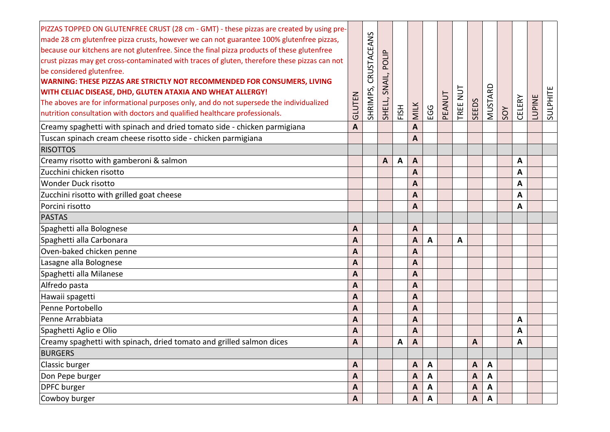| PIZZAS TOPPED ON GLUTENFREE CRUST (28 cm - GMT) - these pizzas are created by using pre-<br>made 28 cm glutenfree pizza crusts, however we can not guarantee 100% glutenfree pizzas,<br>because our kitchens are not glutenfree. Since the final pizza products of these glutenfree<br>crust pizzas may get cross-contaminated with traces of gluten, therefore these pizzas can not<br>be considered glutenfree.<br><b>WARNING: THESE PIZZAS ARE STRICTLY NOT RECOMMENDED FOR CONSUMERS, LIVING</b><br><b>WITH CELIAC DISEASE, DHD, GLUTEN ATAXIA AND WHEAT ALLERGY!</b><br>The aboves are for informational purposes only, and do not supersede the individualized<br>nutrition consultation with doctors and qualified healthcare professionals. | GLUTEN         | CRUSTACEANS<br>SHRIMPS, | POLIP<br>SNAIL,<br>SHELL, | FISH         | <b>MILK</b>               | EGG                       | PEANUT | $\overline{u}$<br>TREE | <b>SEEDS</b> | MUSTARD      | SOY | CELERY       | <b>LUPINE</b> | SULPHITE |
|-----------------------------------------------------------------------------------------------------------------------------------------------------------------------------------------------------------------------------------------------------------------------------------------------------------------------------------------------------------------------------------------------------------------------------------------------------------------------------------------------------------------------------------------------------------------------------------------------------------------------------------------------------------------------------------------------------------------------------------------------------|----------------|-------------------------|---------------------------|--------------|---------------------------|---------------------------|--------|------------------------|--------------|--------------|-----|--------------|---------------|----------|
| Creamy spaghetti with spinach and dried tomato side - chicken parmigiana                                                                                                                                                                                                                                                                                                                                                                                                                                                                                                                                                                                                                                                                            | A              |                         |                           |              | A                         |                           |        |                        |              |              |     |              |               |          |
| Tuscan spinach cream cheese risotto side - chicken parmigiana                                                                                                                                                                                                                                                                                                                                                                                                                                                                                                                                                                                                                                                                                       |                |                         |                           |              | A                         |                           |        |                        |              |              |     |              |               |          |
| <b>RISOTTOS</b>                                                                                                                                                                                                                                                                                                                                                                                                                                                                                                                                                                                                                                                                                                                                     |                |                         |                           |              |                           |                           |        |                        |              |              |     |              |               |          |
| Creamy risotto with gamberoni & salmon                                                                                                                                                                                                                                                                                                                                                                                                                                                                                                                                                                                                                                                                                                              |                |                         | A                         | $\mathsf{A}$ | A                         |                           |        |                        |              |              |     | $\mathbf{A}$ |               |          |
| Zucchini chicken risotto                                                                                                                                                                                                                                                                                                                                                                                                                                                                                                                                                                                                                                                                                                                            |                |                         |                           |              | A                         |                           |        |                        |              |              |     | A            |               |          |
| <b>Wonder Duck risotto</b>                                                                                                                                                                                                                                                                                                                                                                                                                                                                                                                                                                                                                                                                                                                          |                |                         |                           |              | A                         |                           |        |                        |              |              |     | A            |               |          |
| Zucchini risotto with grilled goat cheese                                                                                                                                                                                                                                                                                                                                                                                                                                                                                                                                                                                                                                                                                                           |                |                         |                           |              | A                         |                           |        |                        |              |              |     | A            |               |          |
| Porcini risotto                                                                                                                                                                                                                                                                                                                                                                                                                                                                                                                                                                                                                                                                                                                                     |                |                         |                           |              | A                         |                           |        |                        |              |              |     | A            |               |          |
| <b>PASTAS</b>                                                                                                                                                                                                                                                                                                                                                                                                                                                                                                                                                                                                                                                                                                                                       |                |                         |                           |              |                           |                           |        |                        |              |              |     |              |               |          |
| Spaghetti alla Bolognese                                                                                                                                                                                                                                                                                                                                                                                                                                                                                                                                                                                                                                                                                                                            | A              |                         |                           |              | A                         |                           |        |                        |              |              |     |              |               |          |
| Spaghetti alla Carbonara                                                                                                                                                                                                                                                                                                                                                                                                                                                                                                                                                                                                                                                                                                                            | A              |                         |                           |              | A                         | A                         |        | A                      |              |              |     |              |               |          |
| Oven-baked chicken penne                                                                                                                                                                                                                                                                                                                                                                                                                                                                                                                                                                                                                                                                                                                            | $\overline{A}$ |                         |                           |              | A                         |                           |        |                        |              |              |     |              |               |          |
| Lasagne alla Bolognese                                                                                                                                                                                                                                                                                                                                                                                                                                                                                                                                                                                                                                                                                                                              | A              |                         |                           |              | A                         |                           |        |                        |              |              |     |              |               |          |
| Spaghetti alla Milanese                                                                                                                                                                                                                                                                                                                                                                                                                                                                                                                                                                                                                                                                                                                             | A              |                         |                           |              | A                         |                           |        |                        |              |              |     |              |               |          |
| Alfredo pasta                                                                                                                                                                                                                                                                                                                                                                                                                                                                                                                                                                                                                                                                                                                                       | A              |                         |                           |              | A                         |                           |        |                        |              |              |     |              |               |          |
| Hawaii spagetti                                                                                                                                                                                                                                                                                                                                                                                                                                                                                                                                                                                                                                                                                                                                     | A              |                         |                           |              | A                         |                           |        |                        |              |              |     |              |               |          |
| Penne Portobello                                                                                                                                                                                                                                                                                                                                                                                                                                                                                                                                                                                                                                                                                                                                    | A              |                         |                           |              | A                         |                           |        |                        |              |              |     |              |               |          |
| Penne Arrabbiata                                                                                                                                                                                                                                                                                                                                                                                                                                                                                                                                                                                                                                                                                                                                    | A              |                         |                           |              | A                         |                           |        |                        |              |              |     | A            |               |          |
| Spaghetti Aglio e Olio                                                                                                                                                                                                                                                                                                                                                                                                                                                                                                                                                                                                                                                                                                                              | A              |                         |                           |              | A                         |                           |        |                        |              |              |     | A            |               |          |
| Creamy spaghetti with spinach, dried tomato and grilled salmon dices                                                                                                                                                                                                                                                                                                                                                                                                                                                                                                                                                                                                                                                                                | A              |                         |                           | A            | $\overline{A}$            |                           |        |                        | $\mathbf{A}$ |              |     | A            |               |          |
| <b>BURGERS</b>                                                                                                                                                                                                                                                                                                                                                                                                                                                                                                                                                                                                                                                                                                                                      |                |                         |                           |              |                           |                           |        |                        |              |              |     |              |               |          |
| Classic burger                                                                                                                                                                                                                                                                                                                                                                                                                                                                                                                                                                                                                                                                                                                                      | A              |                         |                           |              | A                         | A                         |        |                        | $\mathsf{A}$ | A            |     |              |               |          |
| Don Pepe burger                                                                                                                                                                                                                                                                                                                                                                                                                                                                                                                                                                                                                                                                                                                                     | A              |                         |                           |              | A                         | $\mathbf{A}$              |        |                        | $\mathbf{A}$ | $\mathbf{A}$ |     |              |               |          |
| <b>DPFC</b> burger                                                                                                                                                                                                                                                                                                                                                                                                                                                                                                                                                                                                                                                                                                                                  | A              |                         |                           |              | A                         | A                         |        |                        | $\mathsf{A}$ | A            |     |              |               |          |
| Cowboy burger                                                                                                                                                                                                                                                                                                                                                                                                                                                                                                                                                                                                                                                                                                                                       | $\mathsf{A}$   |                         |                           |              | $\boldsymbol{\mathsf{A}}$ | $\boldsymbol{\mathsf{A}}$ |        |                        | A            | $\mathbf{A}$ |     |              |               |          |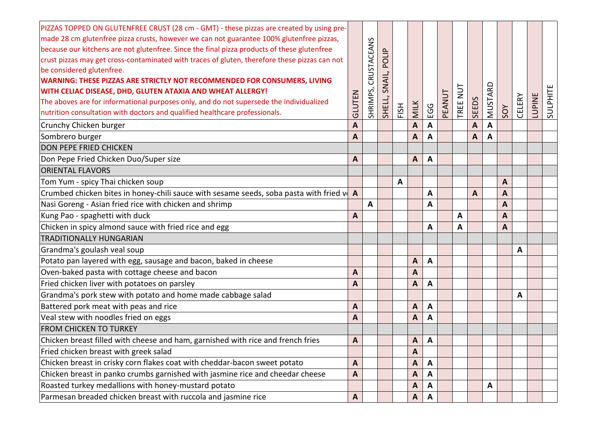| PIZZAS TOPPED ON GLUTENFREE CRUST (28 cm - GMT) - these pizzas are created by using pre-<br>made 28 cm glutenfree pizza crusts, however we can not guarantee 100% glutenfree pizzas,<br>because our kitchens are not glutenfree. Since the final pizza products of these glutenfree<br>crust pizzas may get cross-contaminated with traces of gluten, therefore these pizzas can not<br>be considered glutenfree.<br>WARNING: THESE PIZZAS ARE STRICTLY NOT RECOMMENDED FOR CONSUMERS, LIVING<br>WITH CELIAC DISEASE, DHD, GLUTEN ATAXIA AND WHEAT ALLERGY!<br>The aboves are for informational purposes only, and do not supersede the individualized<br>nutrition consultation with doctors and qualified healthcare professionals.<br>Crunchy Chicken burger | GLUTEN<br>A  | CRUSTACEANS<br>SHRIMPS, | POLIP<br>SNAIL,<br>SHELL, | FISH | <b>MILK</b><br>A | EGG<br>A     | PEANUT | TREE NUT | <b>SEEDS</b><br>$\boldsymbol{A}$ | MUSTARD<br>A | SOY | CELERY | LUPINE | SULPHITE |
|-----------------------------------------------------------------------------------------------------------------------------------------------------------------------------------------------------------------------------------------------------------------------------------------------------------------------------------------------------------------------------------------------------------------------------------------------------------------------------------------------------------------------------------------------------------------------------------------------------------------------------------------------------------------------------------------------------------------------------------------------------------------|--------------|-------------------------|---------------------------|------|------------------|--------------|--------|----------|----------------------------------|--------------|-----|--------|--------|----------|
| Sombrero burger                                                                                                                                                                                                                                                                                                                                                                                                                                                                                                                                                                                                                                                                                                                                                 | A            |                         |                           |      | A                | A            |        |          | A                                | A            |     |        |        |          |
| <b>DON PEPE FRIED CHICKEN</b>                                                                                                                                                                                                                                                                                                                                                                                                                                                                                                                                                                                                                                                                                                                                   |              |                         |                           |      |                  |              |        |          |                                  |              |     |        |        |          |
| Don Pepe Fried Chicken Duo/Super size                                                                                                                                                                                                                                                                                                                                                                                                                                                                                                                                                                                                                                                                                                                           | A            |                         |                           |      | A                | A            |        |          |                                  |              |     |        |        |          |
| <b>ORIENTAL FLAVORS</b>                                                                                                                                                                                                                                                                                                                                                                                                                                                                                                                                                                                                                                                                                                                                         |              |                         |                           |      |                  |              |        |          |                                  |              |     |        |        |          |
| Tom Yum - spicy Thai chicken soup                                                                                                                                                                                                                                                                                                                                                                                                                                                                                                                                                                                                                                                                                                                               |              |                         |                           | A    |                  |              |        |          |                                  |              | A   |        |        |          |
| Crumbed chicken bites in honey-chili sauce with sesame seeds, soba pasta with fried $v \cdot A$                                                                                                                                                                                                                                                                                                                                                                                                                                                                                                                                                                                                                                                                 |              |                         |                           |      |                  | A            |        |          | $\boldsymbol{A}$                 |              | A   |        |        |          |
| Nasi Goreng - Asian fried rice with chicken and shrimp                                                                                                                                                                                                                                                                                                                                                                                                                                                                                                                                                                                                                                                                                                          |              | Α                       |                           |      |                  | A            |        |          |                                  |              | A   |        |        |          |
| Kung Pao - spaghetti with duck                                                                                                                                                                                                                                                                                                                                                                                                                                                                                                                                                                                                                                                                                                                                  | A            |                         |                           |      |                  |              |        | A        |                                  |              | A   |        |        |          |
| Chicken in spicy almond sauce with fried rice and egg                                                                                                                                                                                                                                                                                                                                                                                                                                                                                                                                                                                                                                                                                                           |              |                         |                           |      |                  | A            |        | A        |                                  |              | A   |        |        |          |
| <b>TRADITIONALLY HUNGARIAN</b>                                                                                                                                                                                                                                                                                                                                                                                                                                                                                                                                                                                                                                                                                                                                  |              |                         |                           |      |                  |              |        |          |                                  |              |     |        |        |          |
| Grandma's goulash veal soup                                                                                                                                                                                                                                                                                                                                                                                                                                                                                                                                                                                                                                                                                                                                     |              |                         |                           |      |                  |              |        |          |                                  |              |     | A      |        |          |
| Potato pan layered with egg, sausage and bacon, baked in cheese                                                                                                                                                                                                                                                                                                                                                                                                                                                                                                                                                                                                                                                                                                 |              |                         |                           |      | A                | A            |        |          |                                  |              |     |        |        |          |
| Oven-baked pasta with cottage cheese and bacon                                                                                                                                                                                                                                                                                                                                                                                                                                                                                                                                                                                                                                                                                                                  | A            |                         |                           |      | A                |              |        |          |                                  |              |     |        |        |          |
| Fried chicken liver with potatoes on parsley                                                                                                                                                                                                                                                                                                                                                                                                                                                                                                                                                                                                                                                                                                                    | A            |                         |                           |      | A                | A            |        |          |                                  |              |     |        |        |          |
| Grandma's pork stew with potato and home made cabbage salad                                                                                                                                                                                                                                                                                                                                                                                                                                                                                                                                                                                                                                                                                                     |              |                         |                           |      |                  |              |        |          |                                  |              |     | A      |        |          |
| Battered pork meat with peas and rice                                                                                                                                                                                                                                                                                                                                                                                                                                                                                                                                                                                                                                                                                                                           | A            |                         |                           |      | A                | A            |        |          |                                  |              |     |        |        |          |
| Veal stew with noodles fried on eggs                                                                                                                                                                                                                                                                                                                                                                                                                                                                                                                                                                                                                                                                                                                            | A            |                         |                           |      | A                | A            |        |          |                                  |              |     |        |        |          |
| <b>FROM CHICKEN TO TURKEY</b>                                                                                                                                                                                                                                                                                                                                                                                                                                                                                                                                                                                                                                                                                                                                   |              |                         |                           |      |                  |              |        |          |                                  |              |     |        |        |          |
| Chicken breast filled with cheese and ham, garnished with rice and french fries                                                                                                                                                                                                                                                                                                                                                                                                                                                                                                                                                                                                                                                                                 | A            |                         |                           |      | A                | $\mathbf{A}$ |        |          |                                  |              |     |        |        |          |
| Fried chicken breast with greek salad                                                                                                                                                                                                                                                                                                                                                                                                                                                                                                                                                                                                                                                                                                                           |              |                         |                           |      | A                |              |        |          |                                  |              |     |        |        |          |
| Chicken breast in crisky corn flakes coat with cheddar-bacon sweet potato                                                                                                                                                                                                                                                                                                                                                                                                                                                                                                                                                                                                                                                                                       | A            |                         |                           |      | A                | A            |        |          |                                  |              |     |        |        |          |
| Chicken breast in panko crumbs garnished with jasmine rice and cheedar cheese                                                                                                                                                                                                                                                                                                                                                                                                                                                                                                                                                                                                                                                                                   | A            |                         |                           |      | A                | A            |        |          |                                  |              |     |        |        |          |
| Roasted turkey medallions with honey-mustard potato                                                                                                                                                                                                                                                                                                                                                                                                                                                                                                                                                                                                                                                                                                             |              |                         |                           |      | A                | A            |        |          |                                  | A            |     |        |        |          |
| Parmesan breaded chicken breast with ruccola and jasmine rice                                                                                                                                                                                                                                                                                                                                                                                                                                                                                                                                                                                                                                                                                                   | $\mathbf{A}$ |                         |                           |      | A                | A            |        |          |                                  |              |     |        |        |          |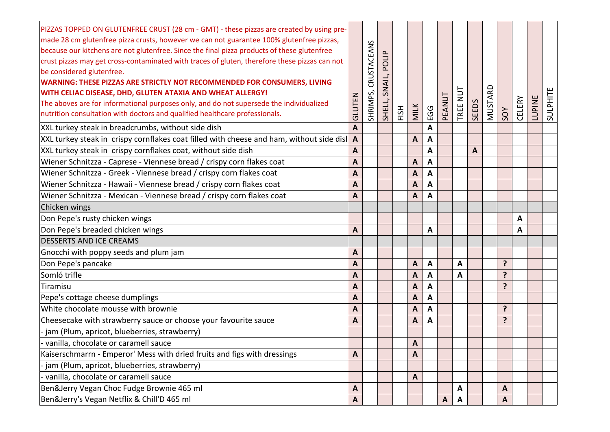| PIZZAS TOPPED ON GLUTENFREE CRUST (28 cm - GMT) - these pizzas are created by using pre-<br>made 28 cm glutenfree pizza crusts, however we can not guarantee 100% glutenfree pizzas,<br>because our kitchens are not glutenfree. Since the final pizza products of these glutenfree<br>crust pizzas may get cross-contaminated with traces of gluten, therefore these pizzas can not<br>be considered glutenfree.<br>WARNING: THESE PIZZAS ARE STRICTLY NOT RECOMMENDED FOR CONSUMERS, LIVING<br>WITH CELIAC DISEASE, DHD, GLUTEN ATAXIA AND WHEAT ALLERGY!<br>The aboves are for informational purposes only, and do not supersede the individualized<br>nutrition consultation with doctors and qualified healthcare professionals. | GLUTEN       | CRUSTACEANS<br>SHRIMPS, | POLIP<br>SNAIL,<br>SHELL, | FISH | <b>MILK</b> | EGG | PEANUT       | $\overline{u}$<br>TREE | SEEDS        | MUSTARD | SOY            | CELERY       | LUPINE | SULPHITE |
|---------------------------------------------------------------------------------------------------------------------------------------------------------------------------------------------------------------------------------------------------------------------------------------------------------------------------------------------------------------------------------------------------------------------------------------------------------------------------------------------------------------------------------------------------------------------------------------------------------------------------------------------------------------------------------------------------------------------------------------|--------------|-------------------------|---------------------------|------|-------------|-----|--------------|------------------------|--------------|---------|----------------|--------------|--------|----------|
| XXL turkey steak in breadcrumbs, without side dish                                                                                                                                                                                                                                                                                                                                                                                                                                                                                                                                                                                                                                                                                    | A            |                         |                           |      |             | A   |              |                        |              |         |                |              |        |          |
| XXL turkey steak in crispy cornflakes coat filled with cheese and ham, without side dist                                                                                                                                                                                                                                                                                                                                                                                                                                                                                                                                                                                                                                              | A            |                         |                           |      | A           | A   |              |                        |              |         |                |              |        |          |
| XXL turkey steak in crispy cornflakes coat, without side dish                                                                                                                                                                                                                                                                                                                                                                                                                                                                                                                                                                                                                                                                         | A            |                         |                           |      |             | A   |              |                        | $\mathbf{A}$ |         |                |              |        |          |
| Wiener Schnitzza - Caprese - Viennese bread / crispy corn flakes coat                                                                                                                                                                                                                                                                                                                                                                                                                                                                                                                                                                                                                                                                 | A            |                         |                           |      | A           | A   |              |                        |              |         |                |              |        |          |
| Wiener Schnitzza - Greek - Viennese bread / crispy corn flakes coat                                                                                                                                                                                                                                                                                                                                                                                                                                                                                                                                                                                                                                                                   | A            |                         |                           |      | A           | A   |              |                        |              |         |                |              |        |          |
| Wiener Schnitzza - Hawaii - Viennese bread / crispy corn flakes coat                                                                                                                                                                                                                                                                                                                                                                                                                                                                                                                                                                                                                                                                  | A            |                         |                           |      | A           | A   |              |                        |              |         |                |              |        |          |
| Wiener Schnitzza - Mexican - Viennese bread / crispy corn flakes coat                                                                                                                                                                                                                                                                                                                                                                                                                                                                                                                                                                                                                                                                 | A            |                         |                           |      | A           | A   |              |                        |              |         |                |              |        |          |
| Chicken wings                                                                                                                                                                                                                                                                                                                                                                                                                                                                                                                                                                                                                                                                                                                         |              |                         |                           |      |             |     |              |                        |              |         |                |              |        |          |
| Don Pepe's rusty chicken wings                                                                                                                                                                                                                                                                                                                                                                                                                                                                                                                                                                                                                                                                                                        |              |                         |                           |      |             |     |              |                        |              |         |                | $\mathbf{A}$ |        |          |
| Don Pepe's breaded chicken wings                                                                                                                                                                                                                                                                                                                                                                                                                                                                                                                                                                                                                                                                                                      | A            |                         |                           |      |             | A   |              |                        |              |         |                | A            |        |          |
| <b>DESSERTS AND ICE CREAMS</b>                                                                                                                                                                                                                                                                                                                                                                                                                                                                                                                                                                                                                                                                                                        |              |                         |                           |      |             |     |              |                        |              |         |                |              |        |          |
| Gnocchi with poppy seeds and plum jam                                                                                                                                                                                                                                                                                                                                                                                                                                                                                                                                                                                                                                                                                                 | A            |                         |                           |      |             |     |              |                        |              |         |                |              |        |          |
| Don Pepe's pancake                                                                                                                                                                                                                                                                                                                                                                                                                                                                                                                                                                                                                                                                                                                    | A            |                         |                           |      | A           | A   |              | A                      |              |         | ?              |              |        |          |
| Somló trifle                                                                                                                                                                                                                                                                                                                                                                                                                                                                                                                                                                                                                                                                                                                          | A            |                         |                           |      | A           | A   |              | $\mathsf{A}$           |              |         | ?              |              |        |          |
| Tiramisu                                                                                                                                                                                                                                                                                                                                                                                                                                                                                                                                                                                                                                                                                                                              | A            |                         |                           |      | A           | A   |              |                        |              |         | $\mathbf{P}$   |              |        |          |
| Pepe's cottage cheese dumplings                                                                                                                                                                                                                                                                                                                                                                                                                                                                                                                                                                                                                                                                                                       | A            |                         |                           |      | A           | A   |              |                        |              |         |                |              |        |          |
| White chocolate mousse with brownie                                                                                                                                                                                                                                                                                                                                                                                                                                                                                                                                                                                                                                                                                                   | A            |                         |                           |      | A           | A   |              |                        |              |         | ?              |              |        |          |
| Cheesecake with strawberry sauce or choose your favourite sauce                                                                                                                                                                                                                                                                                                                                                                                                                                                                                                                                                                                                                                                                       | A            |                         |                           |      | A           | A   |              |                        |              |         | $\overline{?}$ |              |        |          |
| - jam (Plum, apricot, blueberries, strawberry)                                                                                                                                                                                                                                                                                                                                                                                                                                                                                                                                                                                                                                                                                        |              |                         |                           |      |             |     |              |                        |              |         |                |              |        |          |
| - vanilla, chocolate or caramell sauce                                                                                                                                                                                                                                                                                                                                                                                                                                                                                                                                                                                                                                                                                                |              |                         |                           |      | A           |     |              |                        |              |         |                |              |        |          |
| Kaiserschmarrn - Emperor' Mess with dried fruits and figs with dressings                                                                                                                                                                                                                                                                                                                                                                                                                                                                                                                                                                                                                                                              | A            |                         |                           |      | A           |     |              |                        |              |         |                |              |        |          |
| jam (Plum, apricot, blueberries, strawberry)                                                                                                                                                                                                                                                                                                                                                                                                                                                                                                                                                                                                                                                                                          |              |                         |                           |      |             |     |              |                        |              |         |                |              |        |          |
| vanilla, chocolate or caramell sauce                                                                                                                                                                                                                                                                                                                                                                                                                                                                                                                                                                                                                                                                                                  |              |                         |                           |      | A           |     |              |                        |              |         |                |              |        |          |
| Ben&Jerry Vegan Choc Fudge Brownie 465 ml                                                                                                                                                                                                                                                                                                                                                                                                                                                                                                                                                                                                                                                                                             | A            |                         |                           |      |             |     |              | A                      |              |         | A              |              |        |          |
| Ben&Jerry's Vegan Netflix & Chill'D 465 ml                                                                                                                                                                                                                                                                                                                                                                                                                                                                                                                                                                                                                                                                                            | $\mathbf{A}$ |                         |                           |      |             |     | $\mathbf{A}$ | $\mathbf{A}$           |              |         | A              |              |        |          |